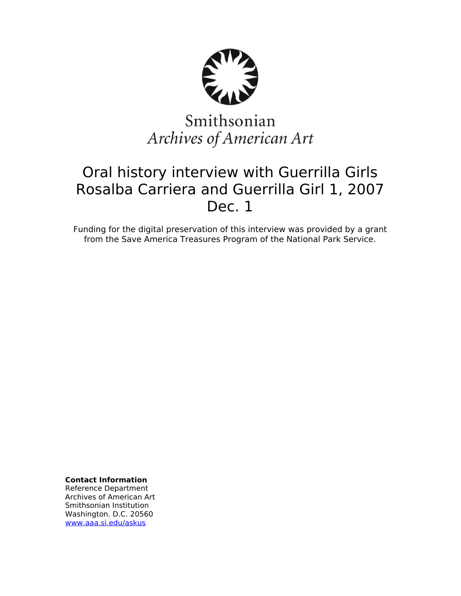

# Smithsonian Archives of American Art

## Oral history interview with Guerrilla Girls Rosalba Carriera and Guerrilla Girl 1, 2007 Dec. 1

Funding for the digital preservation of this interview was provided by a grant from the Save America Treasures Program of the National Park Service.

**Contact Information** Reference Department Archives of American Art Smithsonian Institution Washington. D.C. 20560 [www.aaa.si.edu/askus](http://www.aaa.si.edu/askus)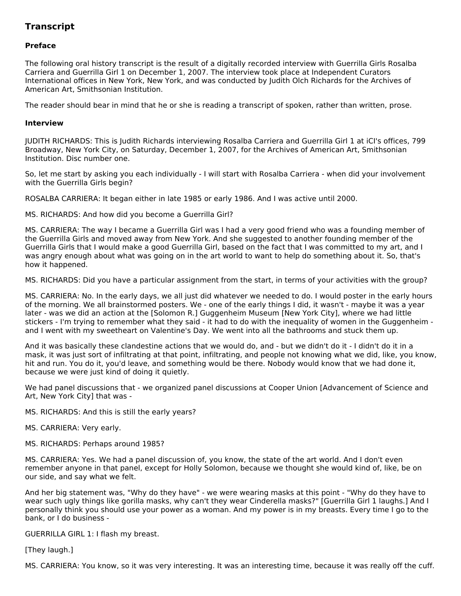### **Transcript**

#### **Preface**

The following oral history transcript is the result of a digitally recorded interview with Guerrilla Girls Rosalba Carriera and Guerrilla Girl 1 on December 1, 2007. The interview took place at Independent Curators International offices in New York, New York, and was conducted by Judith Olch Richards for the Archives of American Art, Smithsonian Institution.

The reader should bear in mind that he or she is reading a transcript of spoken, rather than written, prose.

#### **Interview**

JUDITH RICHARDS: This is Judith Richards interviewing Rosalba Carriera and Guerrilla Girl 1 at iCI's offices, 799 Broadway, New York City, on Saturday, December 1, 2007, for the Archives of American Art, Smithsonian Institution. Disc number one.

So, let me start by asking you each individually - I will start with Rosalba Carriera - when did your involvement with the Guerrilla Girls begin?

ROSALBA CARRIERA: It began either in late 1985 or early 1986. And I was active until 2000.

MS. RICHARDS: And how did you become a Guerrilla Girl?

MS. CARRIERA: The way I became a Guerrilla Girl was I had a very good friend who was a founding member of the Guerrilla Girls and moved away from New York. And she suggested to another founding member of the Guerrilla Girls that I would make a good Guerrilla Girl, based on the fact that I was committed to my art, and I was angry enough about what was going on in the art world to want to help do something about it. So, that's how it happened.

MS. RICHARDS: Did you have a particular assignment from the start, in terms of your activities with the group?

MS. CARRIERA: No. In the early days, we all just did whatever we needed to do. I would poster in the early hours of the morning. We all brainstormed posters. We - one of the early things I did, it wasn't - maybe it was a year later - was we did an action at the [Solomon R.] Guggenheim Museum [New York City], where we had little stickers - I'm trying to remember what they said - it had to do with the inequality of women in the Guggenheim and I went with my sweetheart on Valentine's Day. We went into all the bathrooms and stuck them up.

And it was basically these clandestine actions that we would do, and - but we didn't do it - I didn't do it in a mask, it was just sort of infiltrating at that point, infiltrating, and people not knowing what we did, like, you know, hit and run. You do it, you'd leave, and something would be there. Nobody would know that we had done it, because we were just kind of doing it quietly.

We had panel discussions that - we organized panel discussions at Cooper Union [Advancement of Science and Art, New York City] that was -

MS. RICHARDS: And this is still the early years?

MS. CARRIERA: Very early.

MS. RICHARDS: Perhaps around 1985?

MS. CARRIERA: Yes. We had a panel discussion of, you know, the state of the art world. And I don't even remember anyone in that panel, except for Holly Solomon, because we thought she would kind of, like, be on our side, and say what we felt.

And her big statement was, "Why do they have" - we were wearing masks at this point - "Why do they have to wear such ugly things like gorilla masks, why can't they wear Cinderella masks?" [Guerrilla Girl 1 laughs.] And I personally think you should use your power as a woman. And my power is in my breasts. Every time I go to the bank, or I do business -

GUERRILLA GIRL 1: I flash my breast.

[They laugh.]

MS. CARRIERA: You know, so it was very interesting. It was an interesting time, because it was really off the cuff.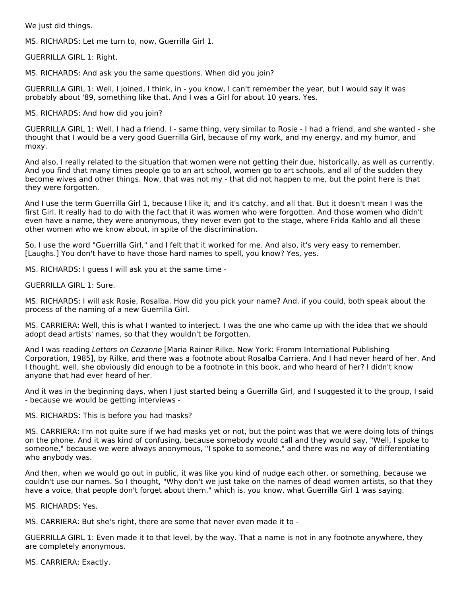We just did things.

MS. RICHARDS: Let me turn to, now, Guerrilla Girl 1.

GUERRILLA GIRL 1: Right.

MS. RICHARDS: And ask you the same questions. When did you join?

GUERRILLA GIRL 1: Well, I joined, I think, in - you know, I can't remember the year, but I would say it was probably about '89, something like that. And I was a Girl for about 10 years. Yes.

MS. RICHARDS: And how did you join?

GUERRILLA GIRL 1: Well, I had a friend. I - same thing, very similar to Rosie - I had a friend, and she wanted - she thought that I would be a very good Guerrilla Girl, because of my work, and my energy, and my humor, and moxy.

And also, I really related to the situation that women were not getting their due, historically, as well as currently. And you find that many times people go to an art school, women go to art schools, and all of the sudden they become wives and other things. Now, that was not my - that did not happen to me, but the point here is that they were forgotten.

And I use the term Guerrilla Girl 1, because I like it, and it's catchy, and all that. But it doesn't mean I was the first Girl. It really had to do with the fact that it was women who were forgotten. And those women who didn't even have a name, they were anonymous, they never even got to the stage, where Frida Kahlo and all these other women who we know about, in spite of the discrimination.

So, I use the word "Guerrilla Girl," and I felt that it worked for me. And also, it's very easy to remember. [Laughs.] You don't have to have those hard names to spell, you know? Yes, yes.

MS. RICHARDS: I guess I will ask you at the same time -

GUERRILLA GIRL 1: Sure.

MS. RICHARDS: I will ask Rosie, Rosalba. How did you pick your name? And, if you could, both speak about the process of the naming of a new Guerrilla Girl.

MS. CARRIERA: Well, this is what I wanted to interject. I was the one who came up with the idea that we should adopt dead artists' names, so that they wouldn't be forgotten.

And I was reading Letters on Cezanne [Maria Rainer Rilke. New York: Fromm International Publishing Corporation, 1985], by Rilke, and there was a footnote about Rosalba Carriera. And I had never heard of her. And I thought, well, she obviously did enough to be a footnote in this book, and who heard of her? I didn't know anyone that had ever heard of her.

And it was in the beginning days, when I just started being a Guerrilla Girl, and I suggested it to the group, I said - because we would be getting interviews -

MS. RICHARDS: This is before you had masks?

MS. CARRIERA: I'm not quite sure if we had masks yet or not, but the point was that we were doing lots of things on the phone. And it was kind of confusing, because somebody would call and they would say, "Well, I spoke to someone," because we were always anonymous, "I spoke to someone," and there was no way of differentiating who anybody was.

And then, when we would go out in public, it was like you kind of nudge each other, or something, because we couldn't use our names. So I thought, "Why don't we just take on the names of dead women artists, so that they have a voice, that people don't forget about them," which is, you know, what Guerrilla Girl 1 was saying.

MS. RICHARDS: Yes.

MS. CARRIERA: But she's right, there are some that never even made it to -

GUERRILLA GIRL 1: Even made it to that level, by the way. That a name is not in any footnote anywhere, they are completely anonymous.

MS. CARRIERA: Exactly.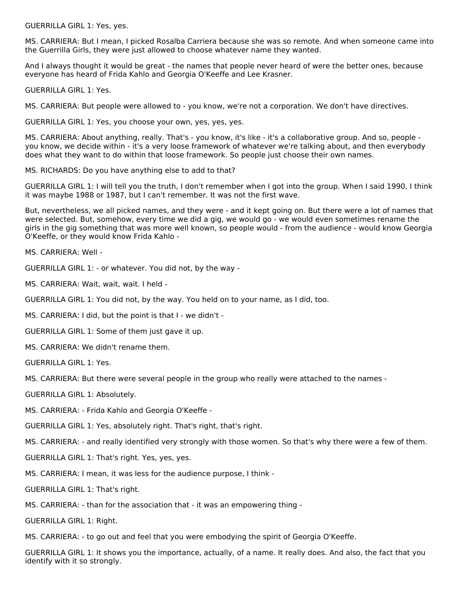GUERRILLA GIRL 1: Yes, yes.

MS. CARRIERA: But I mean, I picked Rosalba Carriera because she was so remote. And when someone came into the Guerrilla Girls, they were just allowed to choose whatever name they wanted.

And I always thought it would be great - the names that people never heard of were the better ones, because everyone has heard of Frida Kahlo and Georgia O'Keeffe and Lee Krasner.

GUERRILLA GIRL 1: Yes.

MS. CARRIERA: But people were allowed to - you know, we're not a corporation. We don't have directives.

GUERRILLA GIRL 1: Yes, you choose your own, yes, yes, yes.

MS. CARRIERA: About anything, really. That's - you know, it's like - it's a collaborative group. And so, people you know, we decide within - it's a very loose framework of whatever we're talking about, and then everybody does what they want to do within that loose framework. So people just choose their own names.

MS. RICHARDS: Do you have anything else to add to that?

GUERRILLA GIRL 1: I will tell you the truth, I don't remember when I got into the group. When I said 1990, I think it was maybe 1988 or 1987, but I can't remember. It was not the first wave.

But, nevertheless, we all picked names, and they were - and it kept going on. But there were a lot of names that were selected. But, somehow, every time we did a gig, we would go - we would even sometimes rename the girls in the gig something that was more well known, so people would - from the audience - would know Georgia O'Keeffe, or they would know Frida Kahlo -

MS. CARRIERA: Well -

GUERRILLA GIRL 1: - or whatever. You did not, by the way -

MS. CARRIERA: Wait, wait, wait. I held -

GUERRILLA GIRL 1: You did not, by the way. You held on to your name, as I did, too.

MS. CARRIERA: I did, but the point is that I - we didn't -

GUERRILLA GIRL 1: Some of them just gave it up.

MS. CARRIERA: We didn't rename them.

GUERRILLA GIRL 1: Yes.

MS. CARRIERA: But there were several people in the group who really were attached to the names -

GUERRILLA GIRL 1: Absolutely.

MS. CARRIERA: - Frida Kahlo and Georgia O'Keeffe -

GUERRILLA GIRL 1: Yes, absolutely right. That's right, that's right.

MS. CARRIERA: - and really identified very strongly with those women. So that's why there were a few of them.

GUERRILLA GIRL 1: That's right. Yes, yes, yes.

MS. CARRIERA: I mean, it was less for the audience purpose, I think -

GUERRILLA GIRL 1: That's right.

MS. CARRIERA: - than for the association that - it was an empowering thing -

GUERRILLA GIRL 1: Right.

MS. CARRIERA: - to go out and feel that you were embodying the spirit of Georgia O'Keeffe.

GUERRILLA GIRL 1: It shows you the importance, actually, of a name. It really does. And also, the fact that you identify with it so strongly.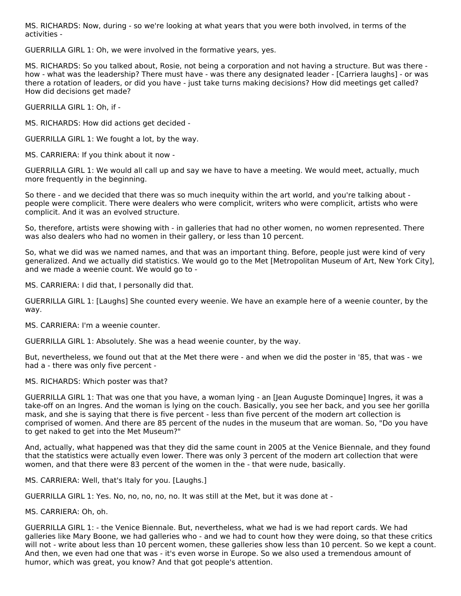MS. RICHARDS: Now, during - so we're looking at what years that you were both involved, in terms of the activities -

GUERRILLA GIRL 1: Oh, we were involved in the formative years, yes.

MS. RICHARDS: So you talked about, Rosie, not being a corporation and not having a structure. But was there how - what was the leadership? There must have - was there any designated leader - [Carriera laughs] - or was there a rotation of leaders, or did you have - just take turns making decisions? How did meetings get called? How did decisions get made?

GUERRILLA GIRL 1: Oh, if -

MS. RICHARDS: How did actions get decided -

GUERRILLA GIRL 1: We fought a lot, by the way.

MS. CARRIERA: If you think about it now -

GUERRILLA GIRL 1: We would all call up and say we have to have a meeting. We would meet, actually, much more frequently in the beginning.

So there - and we decided that there was so much inequity within the art world, and you're talking about people were complicit. There were dealers who were complicit, writers who were complicit, artists who were complicit. And it was an evolved structure.

So, therefore, artists were showing with - in galleries that had no other women, no women represented. There was also dealers who had no women in their gallery, or less than 10 percent.

So, what we did was we named names, and that was an important thing. Before, people just were kind of very generalized. And we actually did statistics. We would go to the Met [Metropolitan Museum of Art, New York City], and we made a weenie count. We would go to -

MS. CARRIERA: I did that, I personally did that.

GUERRILLA GIRL 1: [Laughs] She counted every weenie. We have an example here of a weenie counter, by the way.

MS. CARRIERA: I'm a weenie counter.

GUERRILLA GIRL 1: Absolutely. She was a head weenie counter, by the way.

But, nevertheless, we found out that at the Met there were - and when we did the poster in '85, that was - we had a - there was only five percent -

MS. RICHARDS: Which poster was that?

GUERRILLA GIRL 1: That was one that you have, a woman lying - an [Jean Auguste Dominque] Ingres, it was a take-off on an Ingres. And the woman is lying on the couch. Basically, you see her back, and you see her gorilla mask, and she is saying that there is five percent - less than five percent of the modern art collection is comprised of women. And there are 85 percent of the nudes in the museum that are woman. So, "Do you have to get naked to get into the Met Museum?"

And, actually, what happened was that they did the same count in 2005 at the Venice Biennale, and they found that the statistics were actually even lower. There was only 3 percent of the modern art collection that were women, and that there were 83 percent of the women in the - that were nude, basically.

MS. CARRIERA: Well, that's Italy for you. [Laughs.]

GUERRILLA GIRL 1: Yes. No, no, no, no, no. It was still at the Met, but it was done at -

MS. CARRIERA: Oh, oh.

GUERRILLA GIRL 1: - the Venice Biennale. But, nevertheless, what we had is we had report cards. We had galleries like Mary Boone, we had galleries who - and we had to count how they were doing, so that these critics will not - write about less than 10 percent women, these galleries show less than 10 percent. So we kept a count. And then, we even had one that was - it's even worse in Europe. So we also used a tremendous amount of humor, which was great, you know? And that got people's attention.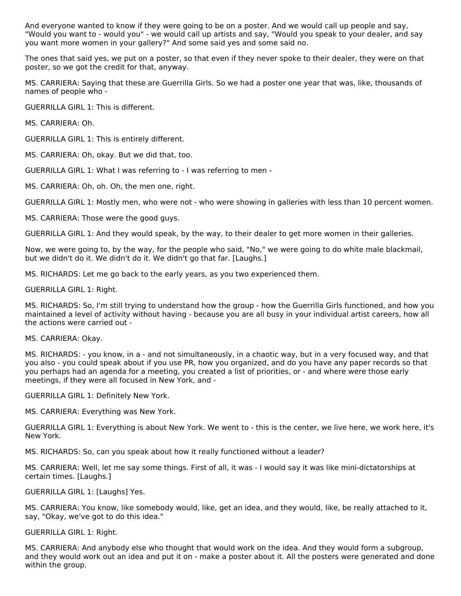And everyone wanted to know if they were going to be on a poster. And we would call up people and say, "Would you want to - would you" - we would call up artists and say, "Would you speak to your dealer, and say you want more women in your gallery?" And some said yes and some said no.

The ones that said yes, we put on a poster, so that even if they never spoke to their dealer, they were on that poster, so we got the credit for that, anyway.

MS. CARRIERA: Saying that these are Guerrilla Girls. So we had a poster one year that was, like, thousands of names of people who -

GUERRILLA GIRL 1: This is different.

MS. CARRIERA: Oh.

GUERRILLA GIRL 1: This is entirely different.

MS. CARRIERA: Oh, okay. But we did that, too.

GUERRILLA GIRL 1: What I was referring to - I was referring to men -

MS. CARRIERA: Oh, oh. Oh, the men one, right.

GUERRILLA GIRL 1: Mostly men, who were not - who were showing in galleries with less than 10 percent women.

MS. CARRIERA: Those were the good guys.

GUERRILLA GIRL 1: And they would speak, by the way, to their dealer to get more women in their galleries.

Now, we were going to, by the way, for the people who said, "No," we were going to do white male blackmail, but we didn't do it. We didn't do it. We didn't go that far. [Laughs.]

MS. RICHARDS: Let me go back to the early years, as you two experienced them.

GUERRILLA GIRL 1: Right.

MS. RICHARDS: So, I'm still trying to understand how the group - how the Guerrilla Girls functioned, and how you maintained a level of activity without having - because you are all busy in your individual artist careers, how all the actions were carried out -

MS. CARRIERA: Okay.

MS. RICHARDS: - you know, in a - and not simultaneously, in a chaotic way, but in a very focused way, and that you also - you could speak about if you use PR, how you organized, and do you have any paper records so that you perhaps had an agenda for a meeting, you created a list of priorities, or - and where were those early meetings, if they were all focused in New York, and -

GUERRILLA GIRL 1: Definitely New York.

MS. CARRIERA: Everything was New York.

GUERRILLA GIRL 1: Everything is about New York. We went to - this is the center, we live here, we work here, it's New York.

MS. RICHARDS: So, can you speak about how it really functioned without a leader?

MS. CARRIERA: Well, let me say some things. First of all, it was - I would say it was like mini-dictatorships at certain times. [Laughs.]

GUERRILLA GIRL 1: [Laughs] Yes.

MS. CARRIERA: You know, like somebody would, like, get an idea, and they would, like, be really attached to it, say, "Okay, we've got to do this idea."

GUERRILLA GIRL 1: Right.

MS. CARRIERA: And anybody else who thought that would work on the idea. And they would form a subgroup, and they would work out an idea and put it on - make a poster about it. All the posters were generated and done within the group.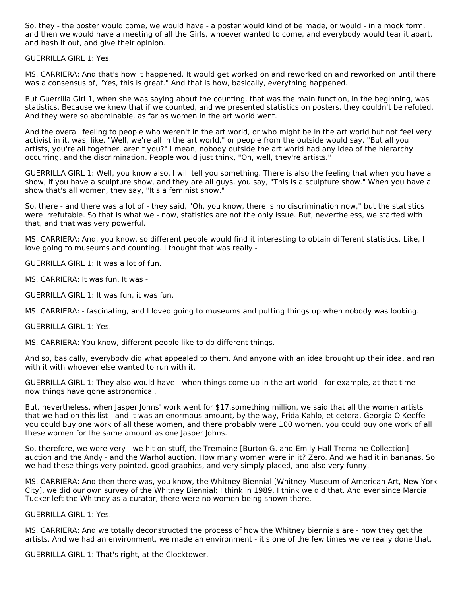So, they - the poster would come, we would have - a poster would kind of be made, or would - in a mock form, and then we would have a meeting of all the Girls, whoever wanted to come, and everybody would tear it apart, and hash it out, and give their opinion.

GUERRILLA GIRL 1: Yes.

MS. CARRIERA: And that's how it happened. It would get worked on and reworked on and reworked on until there was a consensus of, "Yes, this is great." And that is how, basically, everything happened.

But Guerrilla Girl 1, when she was saying about the counting, that was the main function, in the beginning, was statistics. Because we knew that if we counted, and we presented statistics on posters, they couldn't be refuted. And they were so abominable, as far as women in the art world went.

And the overall feeling to people who weren't in the art world, or who might be in the art world but not feel very activist in it, was, like, "Well, we're all in the art world," or people from the outside would say, "But all you artists, you're all together, aren't you?" I mean, nobody outside the art world had any idea of the hierarchy occurring, and the discrimination. People would just think, "Oh, well, they're artists."

GUERRILLA GIRL 1: Well, you know also, I will tell you something. There is also the feeling that when you have a show, if you have a sculpture show, and they are all guys, you say, "This is a sculpture show." When you have a show that's all women, they say, "It's a feminist show."

So, there - and there was a lot of - they said, "Oh, you know, there is no discrimination now," but the statistics were irrefutable. So that is what we - now, statistics are not the only issue. But, nevertheless, we started with that, and that was very powerful.

MS. CARRIERA: And, you know, so different people would find it interesting to obtain different statistics. Like, I love going to museums and counting. I thought that was really -

GUERRILLA GIRL 1: It was a lot of fun.

MS. CARRIERA: It was fun. It was -

GUERRILLA GIRL 1: It was fun, it was fun.

MS. CARRIERA: - fascinating, and I loved going to museums and putting things up when nobody was looking.

GUERRILLA GIRL 1: Yes.

MS. CARRIERA: You know, different people like to do different things.

And so, basically, everybody did what appealed to them. And anyone with an idea brought up their idea, and ran with it with whoever else wanted to run with it.

GUERRILLA GIRL 1: They also would have - when things come up in the art world - for example, at that time now things have gone astronomical.

But, nevertheless, when Jasper Johns' work went for \$17, something million, we said that all the women artists that we had on this list - and it was an enormous amount, by the way, Frida Kahlo, et cetera, Georgia O'Keeffe you could buy one work of all these women, and there probably were 100 women, you could buy one work of all these women for the same amount as one Jasper Johns.

So, therefore, we were very - we hit on stuff, the Tremaine [Burton G. and Emily Hall Tremaine Collection] auction and the Andy - and the Warhol auction. How many women were in it? Zero. And we had it in bananas. So we had these things very pointed, good graphics, and very simply placed, and also very funny.

MS. CARRIERA: And then there was, you know, the Whitney Biennial [Whitney Museum of American Art, New York City], we did our own survey of the Whitney Biennial; I think in 1989, I think we did that. And ever since Marcia Tucker left the Whitney as a curator, there were no women being shown there.

GUERRILLA GIRL 1: Yes.

MS. CARRIERA: And we totally deconstructed the process of how the Whitney biennials are - how they get the artists. And we had an environment, we made an environment - it's one of the few times we've really done that.

GUERRILLA GIRL 1: That's right, at the Clocktower.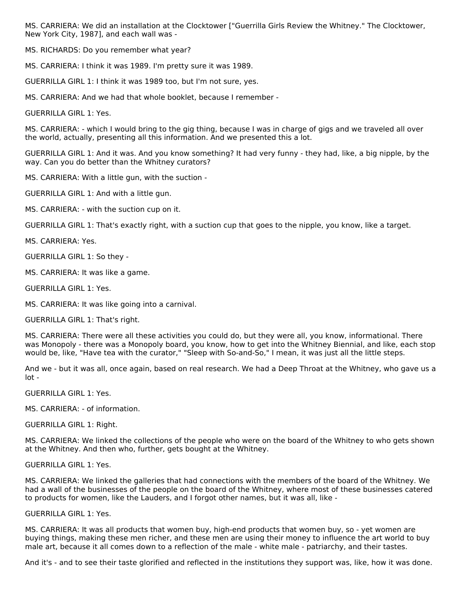MS. CARRIERA: We did an installation at the Clocktower ["Guerrilla Girls Review the Whitney." The Clocktower, New York City, 1987], and each wall was -

MS. RICHARDS: Do you remember what year?

MS. CARRIERA: I think it was 1989. I'm pretty sure it was 1989.

GUERRILLA GIRL 1: I think it was 1989 too, but I'm not sure, yes.

MS. CARRIERA: And we had that whole booklet, because I remember -

GUERRILLA GIRL 1: Yes.

MS. CARRIERA: - which I would bring to the gig thing, because I was in charge of gigs and we traveled all over the world, actually, presenting all this information. And we presented this a lot.

GUERRILLA GIRL 1: And it was. And you know something? It had very funny - they had, like, a big nipple, by the way. Can you do better than the Whitney curators?

MS. CARRIERA: With a little gun, with the suction -

GUERRILLA GIRL 1: And with a little gun.

MS. CARRIERA: - with the suction cup on it.

GUERRILLA GIRL 1: That's exactly right, with a suction cup that goes to the nipple, you know, like a target.

MS. CARRIERA: Yes.

GUERRILLA GIRL 1: So they -

MS. CARRIERA: It was like a game.

GUERRILLA GIRL 1: Yes.

MS. CARRIERA: It was like going into a carnival.

GUERRILLA GIRL 1: That's right.

MS. CARRIERA: There were all these activities you could do, but they were all, you know, informational. There was Monopoly - there was a Monopoly board, you know, how to get into the Whitney Biennial, and like, each stop would be, like, "Have tea with the curator," "Sleep with So-and-So," I mean, it was just all the little steps.

And we - but it was all, once again, based on real research. We had a Deep Throat at the Whitney, who gave us a lot -

GUERRILLA GIRL 1: Yes.

MS. CARRIERA: - of information.

GUERRILLA GIRL 1: Right.

MS. CARRIERA: We linked the collections of the people who were on the board of the Whitney to who gets shown at the Whitney. And then who, further, gets bought at the Whitney.

GUERRILLA GIRL 1: Yes.

MS. CARRIERA: We linked the galleries that had connections with the members of the board of the Whitney. We had a wall of the businesses of the people on the board of the Whitney, where most of these businesses catered to products for women, like the Lauders, and I forgot other names, but it was all, like -

#### GUERRILLA GIRL 1: Yes.

MS. CARRIERA: It was all products that women buy, high-end products that women buy, so - yet women are buying things, making these men richer, and these men are using their money to influence the art world to buy male art, because it all comes down to a reflection of the male - white male - patriarchy, and their tastes.

And it's - and to see their taste glorified and reflected in the institutions they support was, like, how it was done.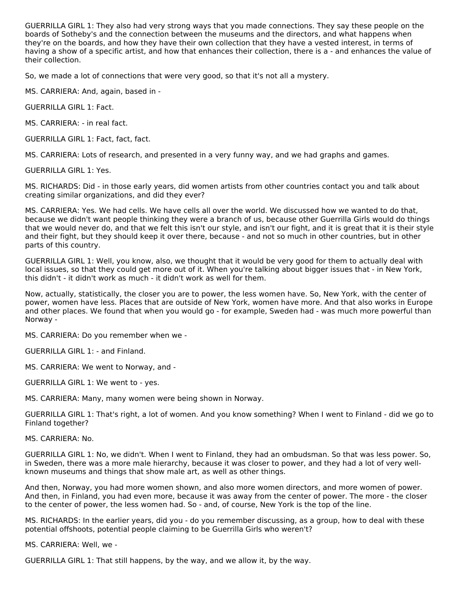GUERRILLA GIRL 1: They also had very strong ways that you made connections. They say these people on the boards of Sotheby's and the connection between the museums and the directors, and what happens when they're on the boards, and how they have their own collection that they have a vested interest, in terms of having a show of a specific artist, and how that enhances their collection, there is a - and enhances the value of their collection.

So, we made a lot of connections that were very good, so that it's not all a mystery.

MS. CARRIERA: And, again, based in -

GUERRILLA GIRL 1: Fact.

MS. CARRIERA: - in real fact.

GUERRILLA GIRL 1: Fact, fact, fact.

MS. CARRIERA: Lots of research, and presented in a very funny way, and we had graphs and games.

GUERRILLA GIRL 1: Yes.

MS. RICHARDS: Did - in those early years, did women artists from other countries contact you and talk about creating similar organizations, and did they ever?

MS. CARRIERA: Yes. We had cells. We have cells all over the world. We discussed how we wanted to do that, because we didn't want people thinking they were a branch of us, because other Guerrilla Girls would do things that we would never do, and that we felt this isn't our style, and isn't our fight, and it is great that it is their style and their fight, but they should keep it over there, because - and not so much in other countries, but in other parts of this country.

GUERRILLA GIRL 1: Well, you know, also, we thought that it would be very good for them to actually deal with local issues, so that they could get more out of it. When you're talking about bigger issues that - in New York, this didn't - it didn't work as much - it didn't work as well for them.

Now, actually, statistically, the closer you are to power, the less women have. So, New York, with the center of power, women have less. Places that are outside of New York, women have more. And that also works in Europe and other places. We found that when you would go - for example, Sweden had - was much more powerful than Norway -

MS. CARRIERA: Do you remember when we -

GUERRILLA GIRL 1: - and Finland.

MS. CARRIERA: We went to Norway, and -

GUERRILLA GIRL 1: We went to - yes.

MS. CARRIERA: Many, many women were being shown in Norway.

GUERRILLA GIRL 1: That's right, a lot of women. And you know something? When I went to Finland - did we go to Finland together?

MS. CARRIERA: No.

GUERRILLA GIRL 1: No, we didn't. When I went to Finland, they had an ombudsman. So that was less power. So, in Sweden, there was a more male hierarchy, because it was closer to power, and they had a lot of very wellknown museums and things that show male art, as well as other things.

And then, Norway, you had more women shown, and also more women directors, and more women of power. And then, in Finland, you had even more, because it was away from the center of power. The more - the closer to the center of power, the less women had. So - and, of course, New York is the top of the line.

MS. RICHARDS: In the earlier years, did you - do you remember discussing, as a group, how to deal with these potential offshoots, potential people claiming to be Guerrilla Girls who weren't?

MS. CARRIERA: Well, we -

GUERRILLA GIRL 1: That still happens, by the way, and we allow it, by the way.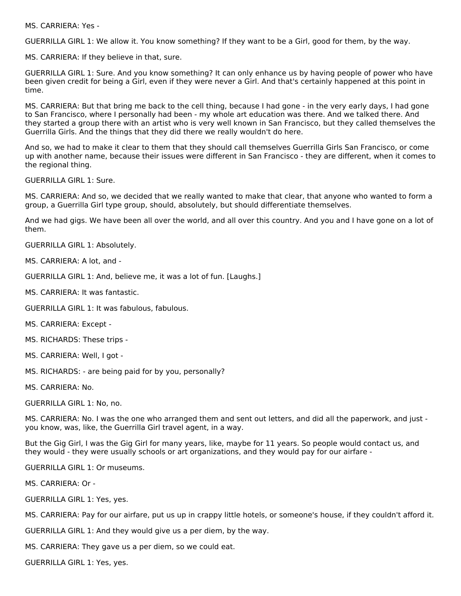MS. CARRIERA: Yes -

GUERRILLA GIRL 1: We allow it. You know something? If they want to be a Girl, good for them, by the way.

MS. CARRIERA: If they believe in that, sure.

GUERRILLA GIRL 1: Sure. And you know something? It can only enhance us by having people of power who have been given credit for being a Girl, even if they were never a Girl. And that's certainly happened at this point in time.

MS. CARRIERA: But that bring me back to the cell thing, because I had gone - in the very early days, I had gone to San Francisco, where I personally had been - my whole art education was there. And we talked there. And they started a group there with an artist who is very well known in San Francisco, but they called themselves the Guerrilla Girls. And the things that they did there we really wouldn't do here.

And so, we had to make it clear to them that they should call themselves Guerrilla Girls San Francisco, or come up with another name, because their issues were different in San Francisco - they are different, when it comes to the regional thing.

GUERRILLA GIRL 1: Sure.

MS. CARRIERA: And so, we decided that we really wanted to make that clear, that anyone who wanted to form a group, a Guerrilla Girl type group, should, absolutely, but should differentiate themselves.

And we had gigs. We have been all over the world, and all over this country. And you and I have gone on a lot of them.

GUERRILLA GIRL 1: Absolutely.

MS. CARRIERA: A lot, and -

GUERRILLA GIRL 1: And, believe me, it was a lot of fun. [Laughs.]

MS. CARRIERA: It was fantastic.

GUERRILLA GIRL 1: It was fabulous, fabulous.

MS. CARRIERA: Except -

MS. RICHARDS: These trips -

MS. CARRIERA: Well, I got -

MS. RICHARDS: - are being paid for by you, personally?

MS. CARRIERA: No.

GUERRILLA GIRL 1: No, no.

MS. CARRIERA: No. I was the one who arranged them and sent out letters, and did all the paperwork, and just you know, was, like, the Guerrilla Girl travel agent, in a way.

But the Gig Girl, I was the Gig Girl for many years, like, maybe for 11 years. So people would contact us, and they would - they were usually schools or art organizations, and they would pay for our airfare -

GUERRILLA GIRL 1: Or museums.

MS. CARRIERA: Or -

GUERRILLA GIRL 1: Yes, yes.

MS. CARRIERA: Pay for our airfare, put us up in crappy little hotels, or someone's house, if they couldn't afford it.

GUERRILLA GIRL 1: And they would give us a per diem, by the way.

MS. CARRIERA: They gave us a per diem, so we could eat.

GUERRILLA GIRL 1: Yes, yes.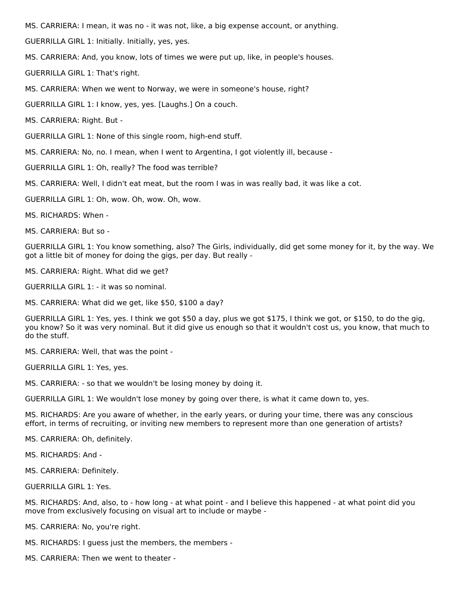MS. CARRIERA: I mean, it was no - it was not, like, a big expense account, or anything.

GUERRILLA GIRL 1: Initially. Initially, yes, yes.

MS. CARRIERA: And, you know, lots of times we were put up, like, in people's houses.

GUERRILLA GIRL 1: That's right.

MS. CARRIERA: When we went to Norway, we were in someone's house, right?

GUERRILLA GIRL 1: I know, yes, yes. [Laughs.] On a couch.

MS. CARRIERA: Right. But -

GUERRILLA GIRL 1: None of this single room, high-end stuff.

MS. CARRIERA: No, no. I mean, when I went to Argentina, I got violently ill, because -

GUERRILLA GIRL 1: Oh, really? The food was terrible?

MS. CARRIERA: Well, I didn't eat meat, but the room I was in was really bad, it was like a cot.

GUERRILLA GIRL 1: Oh, wow. Oh, wow. Oh, wow.

MS. RICHARDS: When -

MS. CARRIERA: But so -

GUERRILLA GIRL 1: You know something, also? The Girls, individually, did get some money for it, by the way. We got a little bit of money for doing the gigs, per day. But really -

MS. CARRIERA: Right. What did we get?

GUERRILLA GIRL 1: - it was so nominal.

MS. CARRIERA: What did we get, like \$50, \$100 a day?

GUERRILLA GIRL 1: Yes, yes. I think we got \$50 a day, plus we got \$175, I think we got, or \$150, to do the gig, you know? So it was very nominal. But it did give us enough so that it wouldn't cost us, you know, that much to do the stuff.

MS. CARRIERA: Well, that was the point -

GUERRILLA GIRL 1: Yes, yes.

MS. CARRIERA: - so that we wouldn't be losing money by doing it.

GUERRILLA GIRL 1: We wouldn't lose money by going over there, is what it came down to, yes.

MS. RICHARDS: Are you aware of whether, in the early years, or during your time, there was any conscious effort, in terms of recruiting, or inviting new members to represent more than one generation of artists?

MS. CARRIERA: Oh, definitely.

MS. RICHARDS: And -

MS. CARRIERA: Definitely.

GUERRILLA GIRL 1: Yes.

MS. RICHARDS: And, also, to - how long - at what point - and I believe this happened - at what point did you move from exclusively focusing on visual art to include or maybe -

MS. CARRIERA: No, you're right.

MS. RICHARDS: I guess just the members, the members -

MS. CARRIERA: Then we went to theater -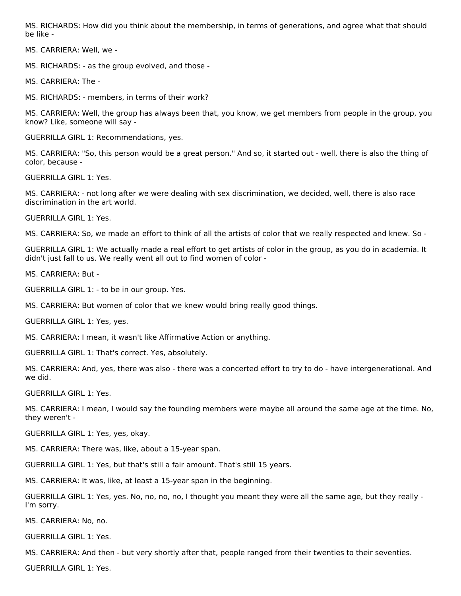MS. RICHARDS: How did you think about the membership, in terms of generations, and agree what that should be like -

MS. CARRIERA: Well, we -

MS. RICHARDS: - as the group evolved, and those -

MS. CARRIERA: The -

MS. RICHARDS: - members, in terms of their work?

MS. CARRIERA: Well, the group has always been that, you know, we get members from people in the group, you know? Like, someone will say -

GUERRILLA GIRL 1: Recommendations, yes.

MS. CARRIERA: "So, this person would be a great person." And so, it started out - well, there is also the thing of color, because -

GUERRILLA GIRL 1: Yes.

MS. CARRIERA: - not long after we were dealing with sex discrimination, we decided, well, there is also race discrimination in the art world.

GUERRILLA GIRL 1: Yes.

MS. CARRIERA: So, we made an effort to think of all the artists of color that we really respected and knew. So -

GUERRILLA GIRL 1: We actually made a real effort to get artists of color in the group, as you do in academia. It didn't just fall to us. We really went all out to find women of color -

MS. CARRIERA: But -

GUERRILLA GIRL 1: - to be in our group. Yes.

MS. CARRIERA: But women of color that we knew would bring really good things.

GUERRILLA GIRL 1: Yes, yes.

MS. CARRIERA: I mean, it wasn't like Affirmative Action or anything.

GUERRILLA GIRL 1: That's correct. Yes, absolutely.

MS. CARRIERA: And, yes, there was also - there was a concerted effort to try to do - have intergenerational. And we did.

GUERRILLA GIRL 1: Yes.

MS. CARRIERA: I mean, I would say the founding members were maybe all around the same age at the time. No, they weren't -

GUERRILLA GIRL 1: Yes, yes, okay.

MS. CARRIERA: There was, like, about a 15-year span.

GUERRILLA GIRL 1: Yes, but that's still a fair amount. That's still 15 years.

MS. CARRIERA: It was, like, at least a 15-year span in the beginning.

GUERRILLA GIRL 1: Yes, yes. No, no, no, no, I thought you meant they were all the same age, but they really - I'm sorry.

MS. CARRIERA: No, no.

GUERRILLA GIRL 1: Yes.

MS. CARRIERA: And then - but very shortly after that, people ranged from their twenties to their seventies.

GUERRILLA GIRL 1: Yes.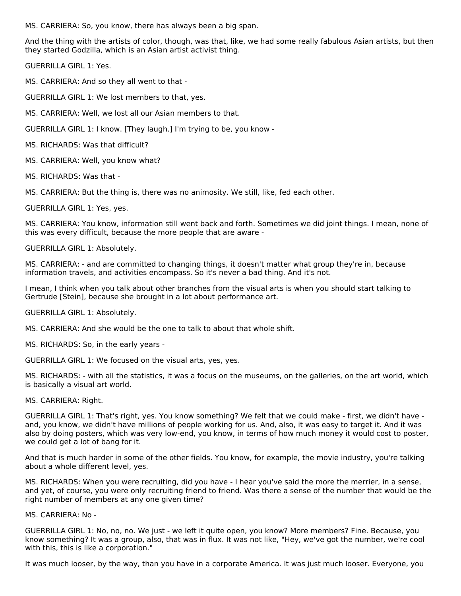MS. CARRIERA: So, you know, there has always been a big span.

And the thing with the artists of color, though, was that, like, we had some really fabulous Asian artists, but then they started Godzilla, which is an Asian artist activist thing.

GUERRILLA GIRL 1: Yes.

MS. CARRIERA: And so they all went to that -

GUERRILLA GIRL 1: We lost members to that, yes.

MS. CARRIERA: Well, we lost all our Asian members to that.

GUERRILLA GIRL 1: I know. [They laugh.] I'm trying to be, you know -

MS. RICHARDS: Was that difficult?

MS. CARRIERA: Well, you know what?

MS. RICHARDS: Was that -

MS. CARRIERA: But the thing is, there was no animosity. We still, like, fed each other.

GUERRILLA GIRL 1: Yes, yes.

MS. CARRIERA: You know, information still went back and forth. Sometimes we did joint things. I mean, none of this was every difficult, because the more people that are aware -

GUERRILLA GIRL 1: Absolutely.

MS. CARRIERA: - and are committed to changing things, it doesn't matter what group they're in, because information travels, and activities encompass. So it's never a bad thing. And it's not.

I mean, I think when you talk about other branches from the visual arts is when you should start talking to Gertrude [Stein], because she brought in a lot about performance art.

GUERRILLA GIRL 1: Absolutely.

MS. CARRIERA: And she would be the one to talk to about that whole shift.

MS. RICHARDS: So, in the early years -

GUERRILLA GIRL 1: We focused on the visual arts, yes, yes.

MS. RICHARDS: - with all the statistics, it was a focus on the museums, on the galleries, on the art world, which is basically a visual art world.

MS. CARRIERA: Right.

GUERRILLA GIRL 1: That's right, yes. You know something? We felt that we could make - first, we didn't have and, you know, we didn't have millions of people working for us. And, also, it was easy to target it. And it was also by doing posters, which was very low-end, you know, in terms of how much money it would cost to poster, we could get a lot of bang for it.

And that is much harder in some of the other fields. You know, for example, the movie industry, you're talking about a whole different level, yes.

MS. RICHARDS: When you were recruiting, did you have - I hear you've said the more the merrier, in a sense, and yet, of course, you were only recruiting friend to friend. Was there a sense of the number that would be the right number of members at any one given time?

MS. CARRIERA: No -

GUERRILLA GIRL 1: No, no, no. We just - we left it quite open, you know? More members? Fine. Because, you know something? It was a group, also, that was in flux. It was not like, "Hey, we've got the number, we're cool with this, this is like a corporation."

It was much looser, by the way, than you have in a corporate America. It was just much looser. Everyone, you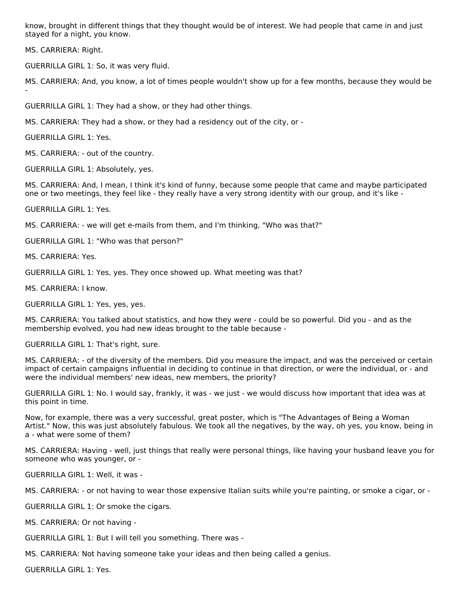know, brought in different things that they thought would be of interest. We had people that came in and just stayed for a night, you know.

MS. CARRIERA: Right.

-

GUERRILLA GIRL 1: So, it was very fluid.

MS. CARRIERA: And, you know, a lot of times people wouldn't show up for a few months, because they would be

GUERRILLA GIRL 1: They had a show, or they had other things.

MS. CARRIERA: They had a show, or they had a residency out of the city, or -

GUERRILLA GIRL 1: Yes.

MS. CARRIERA: - out of the country.

GUERRILLA GIRL 1: Absolutely, yes.

MS. CARRIERA: And, I mean, I think it's kind of funny, because some people that came and maybe participated one or two meetings, they feel like - they really have a very strong identity with our group, and it's like -

GUERRILLA GIRL 1: Yes.

MS. CARRIERA: - we will get e-mails from them, and I'm thinking, "Who was that?"

GUERRILLA GIRL 1: "Who was that person?"

MS. CARRIERA: Yes.

GUERRILLA GIRL 1: Yes, yes. They once showed up. What meeting was that?

MS. CARRIERA: I know.

GUERRILLA GIRL 1: Yes, yes, yes.

MS. CARRIERA: You talked about statistics, and how they were - could be so powerful. Did you - and as the membership evolved, you had new ideas brought to the table because -

GUERRILLA GIRL 1: That's right, sure.

MS. CARRIERA: - of the diversity of the members. Did you measure the impact, and was the perceived or certain impact of certain campaigns influential in deciding to continue in that direction, or were the individual, or - and were the individual members' new ideas, new members, the priority?

GUERRILLA GIRL 1: No. I would say, frankly, it was - we just - we would discuss how important that idea was at this point in time.

Now, for example, there was a very successful, great poster, which is "The Advantages of Being a Woman Artist." Now, this was just absolutely fabulous. We took all the negatives, by the way, oh yes, you know, being in a - what were some of them?

MS. CARRIERA: Having - well, just things that really were personal things, like having your husband leave you for someone who was younger, or -

GUERRILLA GIRL 1: Well, it was -

MS. CARRIERA: - or not having to wear those expensive Italian suits while you're painting, or smoke a cigar, or -

GUERRILLA GIRL 1: Or smoke the cigars.

MS. CARRIERA: Or not having -

GUERRILLA GIRL 1: But I will tell you something. There was -

MS. CARRIERA: Not having someone take your ideas and then being called a genius.

GUERRILLA GIRL 1: Yes.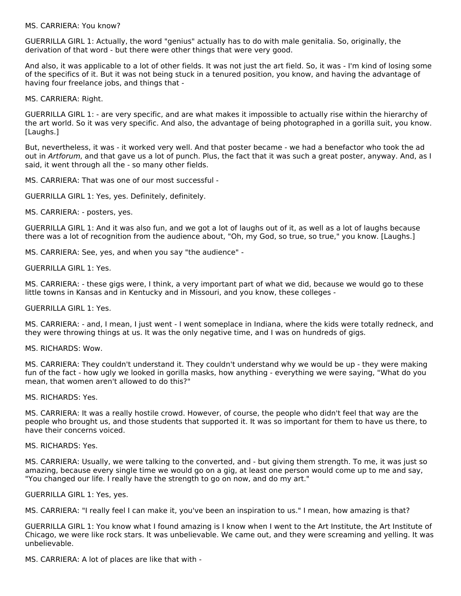#### MS. CARRIERA: You know?

GUERRILLA GIRL 1: Actually, the word "genius" actually has to do with male genitalia. So, originally, the derivation of that word - but there were other things that were very good.

And also, it was applicable to a lot of other fields. It was not just the art field. So, it was - I'm kind of losing some of the specifics of it. But it was not being stuck in a tenured position, you know, and having the advantage of having four freelance jobs, and things that -

MS. CARRIERA: Right.

GUERRILLA GIRL 1: - are very specific, and are what makes it impossible to actually rise within the hierarchy of the art world. So it was very specific. And also, the advantage of being photographed in a gorilla suit, you know. [Laughs.]

But, nevertheless, it was - it worked very well. And that poster became - we had a benefactor who took the ad out in Artforum, and that gave us a lot of punch. Plus, the fact that it was such a great poster, anyway. And, as I said, it went through all the - so many other fields.

MS. CARRIERA: That was one of our most successful -

GUERRILLA GIRL 1: Yes, yes. Definitely, definitely.

MS. CARRIERA: - posters, yes.

GUERRILLA GIRL 1: And it was also fun, and we got a lot of laughs out of it, as well as a lot of laughs because there was a lot of recognition from the audience about, "Oh, my God, so true, so true," you know. [Laughs.]

MS. CARRIERA: See, yes, and when you say "the audience" -

GUERRILLA GIRL 1: Yes.

MS. CARRIERA: - these gigs were, I think, a very important part of what we did, because we would go to these little towns in Kansas and in Kentucky and in Missouri, and you know, these colleges -

GUERRILLA GIRL 1: Yes.

MS. CARRIERA: - and, I mean, I just went - I went someplace in Indiana, where the kids were totally redneck, and they were throwing things at us. It was the only negative time, and I was on hundreds of gigs.

MS. RICHARDS: Wow.

MS. CARRIERA: They couldn't understand it. They couldn't understand why we would be up - they were making fun of the fact - how ugly we looked in gorilla masks, how anything - everything we were saying, "What do you mean, that women aren't allowed to do this?"

MS. RICHARDS: Yes.

MS. CARRIERA: It was a really hostile crowd. However, of course, the people who didn't feel that way are the people who brought us, and those students that supported it. It was so important for them to have us there, to have their concerns voiced.

MS. RICHARDS: Yes.

MS. CARRIERA: Usually, we were talking to the converted, and - but giving them strength. To me, it was just so amazing, because every single time we would go on a gig, at least one person would come up to me and say, "You changed our life. I really have the strength to go on now, and do my art."

GUERRILLA GIRL 1: Yes, yes.

MS. CARRIERA: "I really feel I can make it, you've been an inspiration to us." I mean, how amazing is that?

GUERRILLA GIRL 1: You know what I found amazing is I know when I went to the Art Institute, the Art Institute of Chicago, we were like rock stars. It was unbelievable. We came out, and they were screaming and yelling. It was unbelievable.

MS. CARRIERA: A lot of places are like that with -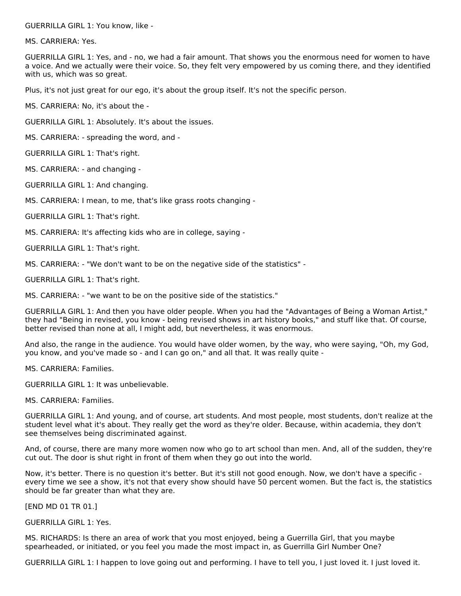GUERRILLA GIRL 1: You know, like -

MS. CARRIERA: Yes.

GUERRILLA GIRL 1: Yes, and - no, we had a fair amount. That shows you the enormous need for women to have a voice. And we actually were their voice. So, they felt very empowered by us coming there, and they identified with us, which was so great.

Plus, it's not just great for our ego, it's about the group itself. It's not the specific person.

MS. CARRIERA: No, it's about the -

GUERRILLA GIRL 1: Absolutely. It's about the issues.

MS. CARRIERA: - spreading the word, and -

GUERRILLA GIRL 1: That's right.

MS. CARRIERA: - and changing -

GUERRILLA GIRL 1: And changing.

MS. CARRIERA: I mean, to me, that's like grass roots changing -

GUERRILLA GIRL 1: That's right.

MS. CARRIERA: It's affecting kids who are in college, saying -

GUERRILLA GIRL 1: That's right.

MS. CARRIERA: - "We don't want to be on the negative side of the statistics" -

GUERRILLA GIRL 1: That's right.

MS. CARRIERA: - "we want to be on the positive side of the statistics."

GUERRILLA GIRL 1: And then you have older people. When you had the "Advantages of Being a Woman Artist," they had "Being in revised, you know - being revised shows in art history books," and stuff like that. Of course, better revised than none at all, I might add, but nevertheless, it was enormous.

And also, the range in the audience. You would have older women, by the way, who were saying, "Oh, my God, you know, and you've made so - and I can go on," and all that. It was really quite -

MS. CARRIERA: Families.

GUERRILLA GIRL 1: It was unbelievable.

MS. CARRIERA: Families.

GUERRILLA GIRL 1: And young, and of course, art students. And most people, most students, don't realize at the student level what it's about. They really get the word as they're older. Because, within academia, they don't see themselves being discriminated against.

And, of course, there are many more women now who go to art school than men. And, all of the sudden, they're cut out. The door is shut right in front of them when they go out into the world.

Now, it's better. There is no question it's better. But it's still not good enough. Now, we don't have a specific every time we see a show, it's not that every show should have 50 percent women. But the fact is, the statistics should be far greater than what they are.

[END MD 01 TR 01.]

GUERRILLA GIRL 1: Yes.

MS. RICHARDS: Is there an area of work that you most enjoyed, being a Guerrilla Girl, that you maybe spearheaded, or initiated, or you feel you made the most impact in, as Guerrilla Girl Number One?

GUERRILLA GIRL 1: I happen to love going out and performing. I have to tell you, I just loved it. I just loved it.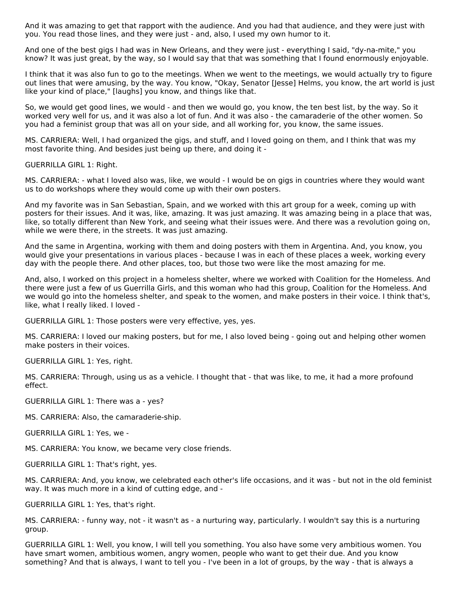And it was amazing to get that rapport with the audience. And you had that audience, and they were just with you. You read those lines, and they were just - and, also, I used my own humor to it.

And one of the best gigs I had was in New Orleans, and they were just - everything I said, "dy-na-mite," you know? It was just great, by the way, so I would say that that was something that I found enormously enjoyable.

I think that it was also fun to go to the meetings. When we went to the meetings, we would actually try to figure out lines that were amusing, by the way. You know, "Okay, Senator [Jesse] Helms, you know, the art world is just like your kind of place," [laughs] you know, and things like that.

So, we would get good lines, we would - and then we would go, you know, the ten best list, by the way. So it worked very well for us, and it was also a lot of fun. And it was also - the camaraderie of the other women. So you had a feminist group that was all on your side, and all working for, you know, the same issues.

MS. CARRIERA: Well, I had organized the gigs, and stuff, and I loved going on them, and I think that was my most favorite thing. And besides just being up there, and doing it -

GUERRILLA GIRL 1: Right.

MS. CARRIERA: - what I loved also was, like, we would - I would be on gigs in countries where they would want us to do workshops where they would come up with their own posters.

And my favorite was in San Sebastian, Spain, and we worked with this art group for a week, coming up with posters for their issues. And it was, like, amazing. It was just amazing. It was amazing being in a place that was, like, so totally different than New York, and seeing what their issues were. And there was a revolution going on, while we were there, in the streets. It was just amazing.

And the same in Argentina, working with them and doing posters with them in Argentina. And, you know, you would give your presentations in various places - because I was in each of these places a week, working every day with the people there. And other places, too, but those two were like the most amazing for me.

And, also, I worked on this project in a homeless shelter, where we worked with Coalition for the Homeless. And there were just a few of us Guerrilla Girls, and this woman who had this group, Coalition for the Homeless. And we would go into the homeless shelter, and speak to the women, and make posters in their voice. I think that's, like, what I really liked. I loved -

GUERRILLA GIRL 1: Those posters were very effective, yes, yes.

MS. CARRIERA: I loved our making posters, but for me, I also loved being - going out and helping other women make posters in their voices.

GUERRILLA GIRL 1: Yes, right.

MS. CARRIERA: Through, using us as a vehicle. I thought that - that was like, to me, it had a more profound effect.

GUERRILLA GIRL 1: There was a - yes?

MS. CARRIERA: Also, the camaraderie-ship.

GUERRILLA GIRL 1: Yes, we -

MS. CARRIERA: You know, we became very close friends.

GUERRILLA GIRL 1: That's right, yes.

MS. CARRIERA: And, you know, we celebrated each other's life occasions, and it was - but not in the old feminist way. It was much more in a kind of cutting edge, and -

GUERRILLA GIRL 1: Yes, that's right.

MS. CARRIERA: - funny way, not - it wasn't as - a nurturing way, particularly. I wouldn't say this is a nurturing group.

GUERRILLA GIRL 1: Well, you know, I will tell you something. You also have some very ambitious women. You have smart women, ambitious women, angry women, people who want to get their due. And you know something? And that is always, I want to tell you - I've been in a lot of groups, by the way - that is always a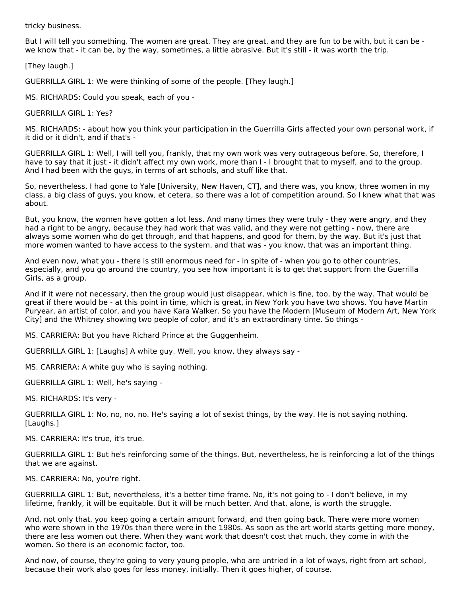tricky business.

But I will tell you something. The women are great. They are great, and they are fun to be with, but it can be we know that - it can be, by the way, sometimes, a little abrasive. But it's still - it was worth the trip.

[They laugh.]

GUERRILLA GIRL 1: We were thinking of some of the people. [They laugh.]

MS. RICHARDS: Could you speak, each of you -

GUERRILLA GIRL 1: Yes?

MS. RICHARDS: - about how you think your participation in the Guerrilla Girls affected your own personal work, if it did or it didn't, and if that's -

GUERRILLA GIRL 1: Well, I will tell you, frankly, that my own work was very outrageous before. So, therefore, I have to say that it just - it didn't affect my own work, more than I - I brought that to myself, and to the group. And I had been with the guys, in terms of art schools, and stuff like that.

So, nevertheless, I had gone to Yale [University, New Haven, CT], and there was, you know, three women in my class, a big class of guys, you know, et cetera, so there was a lot of competition around. So I knew what that was about.

But, you know, the women have gotten a lot less. And many times they were truly - they were angry, and they had a right to be angry, because they had work that was valid, and they were not getting - now, there are always some women who do get through, and that happens, and good for them, by the way. But it's just that more women wanted to have access to the system, and that was - you know, that was an important thing.

And even now, what you - there is still enormous need for - in spite of - when you go to other countries, especially, and you go around the country, you see how important it is to get that support from the Guerrilla Girls, as a group.

And if it were not necessary, then the group would just disappear, which is fine, too, by the way. That would be great if there would be - at this point in time, which is great, in New York you have two shows. You have Martin Puryear, an artist of color, and you have Kara Walker. So you have the Modern [Museum of Modern Art, New York City] and the Whitney showing two people of color, and it's an extraordinary time. So things -

MS. CARRIERA: But you have Richard Prince at the Guggenheim.

GUERRILLA GIRL 1: [Laughs] A white guy. Well, you know, they always say -

MS. CARRIERA: A white guy who is saying nothing.

GUERRILLA GIRL 1: Well, he's saying -

MS. RICHARDS: It's very -

GUERRILLA GIRL 1: No, no, no, no. He's saying a lot of sexist things, by the way. He is not saying nothing. [Laughs.]

MS. CARRIERA: It's true, it's true.

GUERRILLA GIRL 1: But he's reinforcing some of the things. But, nevertheless, he is reinforcing a lot of the things that we are against.

MS. CARRIERA: No, you're right.

GUERRILLA GIRL 1: But, nevertheless, it's a better time frame. No, it's not going to - I don't believe, in my lifetime, frankly, it will be equitable. But it will be much better. And that, alone, is worth the struggle.

And, not only that, you keep going a certain amount forward, and then going back. There were more women who were shown in the 1970s than there were in the 1980s. As soon as the art world starts getting more money, there are less women out there. When they want work that doesn't cost that much, they come in with the women. So there is an economic factor, too.

And now, of course, they're going to very young people, who are untried in a lot of ways, right from art school, because their work also goes for less money, initially. Then it goes higher, of course.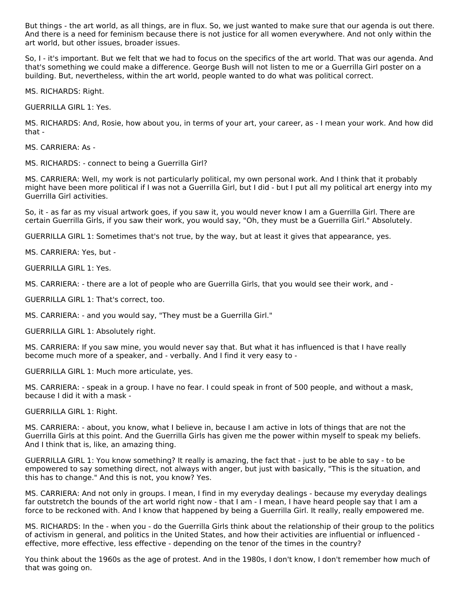But things - the art world, as all things, are in flux. So, we just wanted to make sure that our agenda is out there. And there is a need for feminism because there is not justice for all women everywhere. And not only within the art world, but other issues, broader issues.

So, I - it's important. But we felt that we had to focus on the specifics of the art world. That was our agenda. And that's something we could make a difference. George Bush will not listen to me or a Guerrilla Girl poster on a building. But, nevertheless, within the art world, people wanted to do what was political correct.

MS. RICHARDS: Right.

GUERRILLA GIRL 1: Yes.

MS. RICHARDS: And, Rosie, how about you, in terms of your art, your career, as - I mean your work. And how did that -

MS. CARRIERA: As -

MS. RICHARDS: - connect to being a Guerrilla Girl?

MS. CARRIERA: Well, my work is not particularly political, my own personal work. And I think that it probably might have been more political if I was not a Guerrilla Girl, but I did - but I put all my political art energy into my Guerrilla Girl activities.

So, it - as far as my visual artwork goes, if you saw it, you would never know I am a Guerrilla Girl. There are certain Guerrilla Girls, if you saw their work, you would say, "Oh, they must be a Guerrilla Girl." Absolutely.

GUERRILLA GIRL 1: Sometimes that's not true, by the way, but at least it gives that appearance, yes.

MS. CARRIERA: Yes, but -

GUERRILLA GIRL 1: Yes.

MS. CARRIERA: - there are a lot of people who are Guerrilla Girls, that you would see their work, and -

GUERRILLA GIRL 1: That's correct, too.

MS. CARRIERA: - and you would say, "They must be a Guerrilla Girl."

GUERRILLA GIRL 1: Absolutely right.

MS. CARRIERA: If you saw mine, you would never say that. But what it has influenced is that I have really become much more of a speaker, and - verbally. And I find it very easy to -

GUERRILLA GIRL 1: Much more articulate, yes.

MS. CARRIERA: - speak in a group. I have no fear. I could speak in front of 500 people, and without a mask, because I did it with a mask -

GUERRILLA GIRL 1: Right.

MS. CARRIERA: - about, you know, what I believe in, because I am active in lots of things that are not the Guerrilla Girls at this point. And the Guerrilla Girls has given me the power within myself to speak my beliefs. And I think that is, like, an amazing thing.

GUERRILLA GIRL 1: You know something? It really is amazing, the fact that - just to be able to say - to be empowered to say something direct, not always with anger, but just with basically, "This is the situation, and this has to change." And this is not, you know? Yes.

MS. CARRIERA: And not only in groups. I mean, I find in my everyday dealings - because my everyday dealings far outstretch the bounds of the art world right now - that I am - I mean, I have heard people say that I am a force to be reckoned with. And I know that happened by being a Guerrilla Girl. It really, really empowered me.

MS. RICHARDS: In the - when you - do the Guerrilla Girls think about the relationship of their group to the politics of activism in general, and politics in the United States, and how their activities are influential or influenced effective, more effective, less effective - depending on the tenor of the times in the country?

You think about the 1960s as the age of protest. And in the 1980s, I don't know, I don't remember how much of that was going on.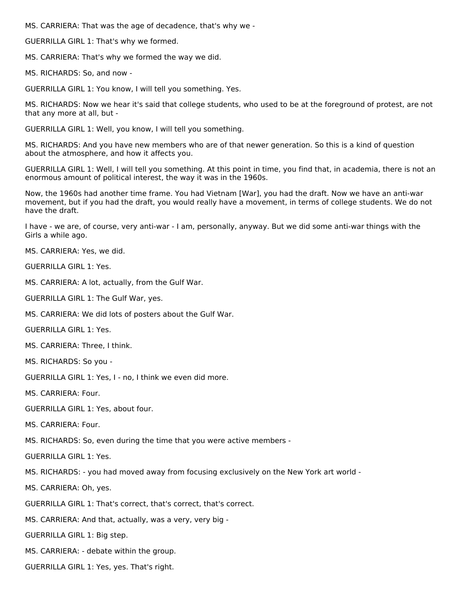MS. CARRIERA: That was the age of decadence, that's why we -

GUERRILLA GIRL 1: That's why we formed.

MS. CARRIERA: That's why we formed the way we did.

MS. RICHARDS: So, and now -

GUERRILLA GIRL 1: You know, I will tell you something. Yes.

MS. RICHARDS: Now we hear it's said that college students, who used to be at the foreground of protest, are not that any more at all, but -

GUERRILLA GIRL 1: Well, you know, I will tell you something.

MS. RICHARDS: And you have new members who are of that newer generation. So this is a kind of question about the atmosphere, and how it affects you.

GUERRILLA GIRL 1: Well, I will tell you something. At this point in time, you find that, in academia, there is not an enormous amount of political interest, the way it was in the 1960s.

Now, the 1960s had another time frame. You had Vietnam [War], you had the draft. Now we have an anti-war movement, but if you had the draft, you would really have a movement, in terms of college students. We do not have the draft.

I have - we are, of course, very anti-war - I am, personally, anyway. But we did some anti-war things with the Girls a while ago.

MS. CARRIERA: Yes, we did.

GUERRILLA GIRL 1: Yes.

MS. CARRIERA: A lot, actually, from the Gulf War.

GUERRILLA GIRL 1: The Gulf War, yes.

MS. CARRIERA: We did lots of posters about the Gulf War.

GUERRILLA GIRL 1: Yes.

MS. CARRIERA: Three, I think.

MS. RICHARDS: So you -

GUERRILLA GIRL 1: Yes, I - no, I think we even did more.

MS. CARRIERA: Four.

GUERRILLA GIRL 1: Yes, about four.

MS. CARRIERA: Four.

MS. RICHARDS: So, even during the time that you were active members -

GUERRILLA GIRL 1: Yes.

MS. RICHARDS: - you had moved away from focusing exclusively on the New York art world -

MS. CARRIERA: Oh, yes.

GUERRILLA GIRL 1: That's correct, that's correct, that's correct.

MS. CARRIERA: And that, actually, was a very, very big -

GUERRILLA GIRL 1: Big step.

MS. CARRIERA: - debate within the group.

GUERRILLA GIRL 1: Yes, yes. That's right.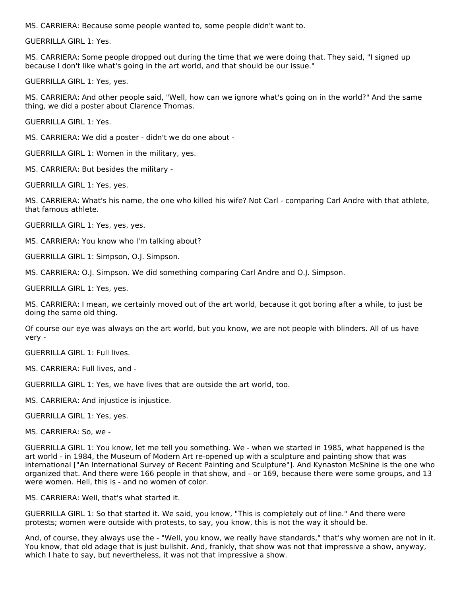MS. CARRIERA: Because some people wanted to, some people didn't want to.

GUERRILLA GIRL 1: Yes.

MS. CARRIERA: Some people dropped out during the time that we were doing that. They said, "I signed up because I don't like what's going in the art world, and that should be our issue."

GUERRILLA GIRL 1: Yes, yes.

MS. CARRIERA: And other people said, "Well, how can we ignore what's going on in the world?" And the same thing, we did a poster about Clarence Thomas.

GUERRILLA GIRL 1: Yes.

MS. CARRIERA: We did a poster - didn't we do one about -

GUERRILLA GIRL 1: Women in the military, yes.

MS. CARRIERA: But besides the military -

GUERRILLA GIRL 1: Yes, yes.

MS. CARRIERA: What's his name, the one who killed his wife? Not Carl - comparing Carl Andre with that athlete, that famous athlete.

GUERRILLA GIRL 1: Yes, yes, yes.

MS. CARRIERA: You know who I'm talking about?

GUERRILLA GIRL 1: Simpson, O.J. Simpson.

MS. CARRIERA: O.J. Simpson. We did something comparing Carl Andre and O.J. Simpson.

GUERRILLA GIRL 1: Yes, yes.

MS. CARRIERA: I mean, we certainly moved out of the art world, because it got boring after a while, to just be doing the same old thing.

Of course our eye was always on the art world, but you know, we are not people with blinders. All of us have very -

GUERRILLA GIRL 1: Full lives.

MS. CARRIERA: Full lives, and -

GUERRILLA GIRL 1: Yes, we have lives that are outside the art world, too.

MS. CARRIERA: And injustice is injustice.

GUERRILLA GIRL 1: Yes, yes.

MS. CARRIERA: So, we -

GUERRILLA GIRL 1: You know, let me tell you something. We - when we started in 1985, what happened is the art world - in 1984, the Museum of Modern Art re-opened up with a sculpture and painting show that was international ["An International Survey of Recent Painting and Sculpture"]. And Kynaston McShine is the one who organized that. And there were 166 people in that show, and - or 169, because there were some groups, and 13 were women. Hell, this is - and no women of color.

MS. CARRIERA: Well, that's what started it.

GUERRILLA GIRL 1: So that started it. We said, you know, "This is completely out of line." And there were protests; women were outside with protests, to say, you know, this is not the way it should be.

And, of course, they always use the - "Well, you know, we really have standards," that's why women are not in it. You know, that old adage that is just bullshit. And, frankly, that show was not that impressive a show, anyway, which I hate to say, but nevertheless, it was not that impressive a show.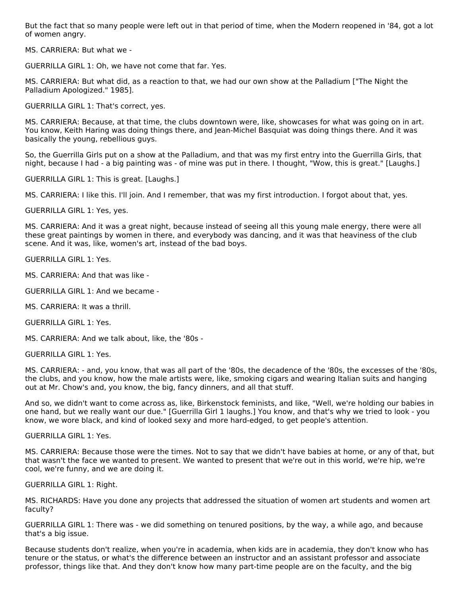But the fact that so many people were left out in that period of time, when the Modern reopened in '84, got a lot of women angry.

MS. CARRIERA: But what we -

GUERRILLA GIRL 1: Oh, we have not come that far. Yes.

MS. CARRIERA: But what did, as a reaction to that, we had our own show at the Palladium ["The Night the Palladium Apologized." 1985].

GUERRILLA GIRL 1: That's correct, yes.

MS. CARRIERA: Because, at that time, the clubs downtown were, like, showcases for what was going on in art. You know, Keith Haring was doing things there, and Jean-Michel Basquiat was doing things there. And it was basically the young, rebellious guys.

So, the Guerrilla Girls put on a show at the Palladium, and that was my first entry into the Guerrilla Girls, that night, because I had - a big painting was - of mine was put in there. I thought, "Wow, this is great." [Laughs.]

GUERRILLA GIRL 1: This is great. [Laughs.]

MS. CARRIERA: I like this. I'll join. And I remember, that was my first introduction. I forgot about that, yes.

GUERRILLA GIRL 1: Yes, yes.

MS. CARRIERA: And it was a great night, because instead of seeing all this young male energy, there were all these great paintings by women in there, and everybody was dancing, and it was that heaviness of the club scene. And it was, like, women's art, instead of the bad boys.

GUERRILLA GIRL 1: Yes.

MS. CARRIERA: And that was like -

GUERRILLA GIRL 1: And we became -

MS. CARRIERA: It was a thrill.

GUERRILLA GIRL 1: Yes.

MS. CARRIERA: And we talk about, like, the '80s -

GUERRILLA GIRL 1: Yes.

MS. CARRIERA: - and, you know, that was all part of the '80s, the decadence of the '80s, the excesses of the '80s, the clubs, and you know, how the male artists were, like, smoking cigars and wearing Italian suits and hanging out at Mr. Chow's and, you know, the big, fancy dinners, and all that stuff.

And so, we didn't want to come across as, like, Birkenstock feminists, and like, "Well, we're holding our babies in one hand, but we really want our due." [Guerrilla Girl 1 laughs.] You know, and that's why we tried to look - you know, we wore black, and kind of looked sexy and more hard-edged, to get people's attention.

GUERRILLA GIRL 1: Yes.

MS. CARRIERA: Because those were the times. Not to say that we didn't have babies at home, or any of that, but that wasn't the face we wanted to present. We wanted to present that we're out in this world, we're hip, we're cool, we're funny, and we are doing it.

GUERRILLA GIRL 1: Right.

MS. RICHARDS: Have you done any projects that addressed the situation of women art students and women art faculty?

GUERRILLA GIRL 1: There was - we did something on tenured positions, by the way, a while ago, and because that's a big issue.

Because students don't realize, when you're in academia, when kids are in academia, they don't know who has tenure or the status, or what's the difference between an instructor and an assistant professor and associate professor, things like that. And they don't know how many part-time people are on the faculty, and the big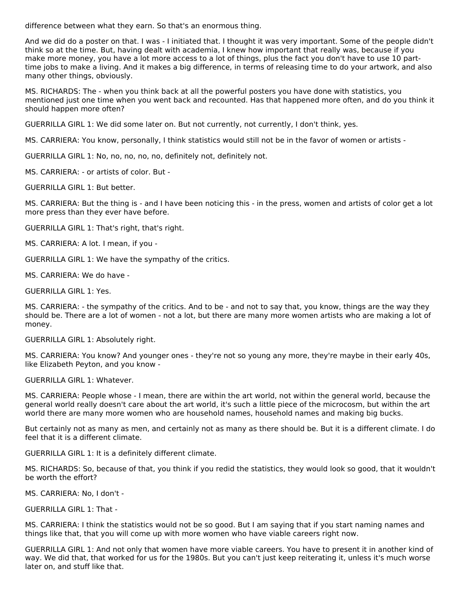difference between what they earn. So that's an enormous thing.

And we did do a poster on that. I was - I initiated that. I thought it was very important. Some of the people didn't think so at the time. But, having dealt with academia, I knew how important that really was, because if you make more money, you have a lot more access to a lot of things, plus the fact you don't have to use 10 parttime jobs to make a living. And it makes a big difference, in terms of releasing time to do your artwork, and also many other things, obviously.

MS. RICHARDS: The - when you think back at all the powerful posters you have done with statistics, you mentioned just one time when you went back and recounted. Has that happened more often, and do you think it should happen more often?

GUERRILLA GIRL 1: We did some later on. But not currently, not currently, I don't think, yes.

MS. CARRIERA: You know, personally, I think statistics would still not be in the favor of women or artists -

GUERRILLA GIRL 1: No, no, no, no, no, definitely not, definitely not.

MS. CARRIERA: - or artists of color. But -

GUERRILLA GIRL 1: But better.

MS. CARRIERA: But the thing is - and I have been noticing this - in the press, women and artists of color get a lot more press than they ever have before.

GUERRILLA GIRL 1: That's right, that's right.

MS. CARRIERA: A lot. I mean, if you -

GUERRILLA GIRL 1: We have the sympathy of the critics.

MS. CARRIERA: We do have -

GUERRILLA GIRL 1: Yes.

MS. CARRIERA: - the sympathy of the critics. And to be - and not to say that, you know, things are the way they should be. There are a lot of women - not a lot, but there are many more women artists who are making a lot of money.

GUERRILLA GIRL 1: Absolutely right.

MS. CARRIERA: You know? And younger ones - they're not so young any more, they're maybe in their early 40s, like Elizabeth Peyton, and you know -

GUERRILLA GIRL 1: Whatever.

MS. CARRIERA: People whose - I mean, there are within the art world, not within the general world, because the general world really doesn't care about the art world, it's such a little piece of the microcosm, but within the art world there are many more women who are household names, household names and making big bucks.

But certainly not as many as men, and certainly not as many as there should be. But it is a different climate. I do feel that it is a different climate.

GUERRILLA GIRL 1: It is a definitely different climate.

MS. RICHARDS: So, because of that, you think if you redid the statistics, they would look so good, that it wouldn't be worth the effort?

MS. CARRIERA: No, I don't -

GUERRILLA GIRL 1: That -

MS. CARRIERA: I think the statistics would not be so good. But I am saying that if you start naming names and things like that, that you will come up with more women who have viable careers right now.

GUERRILLA GIRL 1: And not only that women have more viable careers. You have to present it in another kind of way. We did that, that worked for us for the 1980s. But you can't just keep reiterating it, unless it's much worse later on, and stuff like that.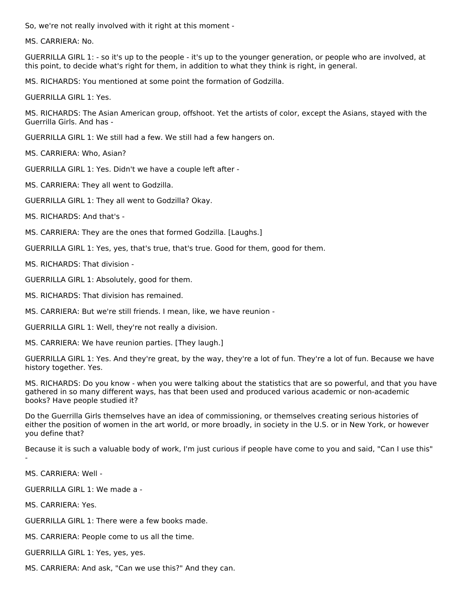So, we're not really involved with it right at this moment -

MS. CARRIERA: No.

GUERRILLA GIRL 1: - so it's up to the people - it's up to the younger generation, or people who are involved, at this point, to decide what's right for them, in addition to what they think is right, in general.

MS. RICHARDS: You mentioned at some point the formation of Godzilla.

GUERRILLA GIRL 1: Yes.

MS. RICHARDS: The Asian American group, offshoot. Yet the artists of color, except the Asians, stayed with the Guerrilla Girls. And has -

GUERRILLA GIRL 1: We still had a few. We still had a few hangers on.

MS. CARRIERA: Who, Asian?

GUERRILLA GIRL 1: Yes. Didn't we have a couple left after -

MS. CARRIERA: They all went to Godzilla.

GUERRILLA GIRL 1: They all went to Godzilla? Okay.

MS. RICHARDS: And that's -

MS. CARRIERA: They are the ones that formed Godzilla. [Laughs.]

GUERRILLA GIRL 1: Yes, yes, that's true, that's true. Good for them, good for them.

MS. RICHARDS: That division -

GUERRILLA GIRL 1: Absolutely, good for them.

MS. RICHARDS: That division has remained.

MS. CARRIERA: But we're still friends. I mean, like, we have reunion -

GUERRILLA GIRL 1: Well, they're not really a division.

MS. CARRIERA: We have reunion parties. [They laugh.]

GUERRILLA GIRL 1: Yes. And they're great, by the way, they're a lot of fun. They're a lot of fun. Because we have history together. Yes.

MS. RICHARDS: Do you know - when you were talking about the statistics that are so powerful, and that you have gathered in so many different ways, has that been used and produced various academic or non-academic books? Have people studied it?

Do the Guerrilla Girls themselves have an idea of commissioning, or themselves creating serious histories of either the position of women in the art world, or more broadly, in society in the U.S. or in New York, or however you define that?

Because it is such a valuable body of work, I'm just curious if people have come to you and said, "Can I use this" -

MS. CARRIERA: Well -

GUERRILLA GIRL 1: We made a -

MS. CARRIERA: Yes.

GUERRILLA GIRL 1: There were a few books made.

MS. CARRIERA: People come to us all the time.

GUERRILLA GIRL 1: Yes, yes, yes.

MS. CARRIERA: And ask, "Can we use this?" And they can.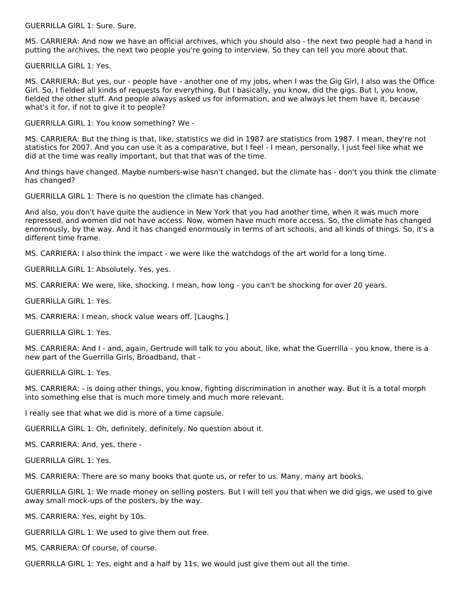GUERRILLA GIRL 1: Sure. Sure.

MS. CARRIERA: And now we have an official archives, which you should also - the next two people had a hand in putting the archives, the next two people you're going to interview. So they can tell you more about that.

GUERRILLA GIRL 1: Yes.

MS. CARRIERA: But yes, our - people have - another one of my jobs, when I was the Gig Girl, I also was the Office Girl. So, I fielded all kinds of requests for everything. But I basically, you know, did the gigs. But I, you know, fielded the other stuff. And people always asked us for information, and we always let them have it, because what's it for, if not to give it to people?

GUERRILLA GIRL 1: You know something? We -

MS. CARRIERA: But the thing is that, like, statistics we did in 1987 are statistics from 1987. I mean, they're not statistics for 2007. And you can use it as a comparative, but I feel - I mean, personally, I just feel like what we did at the time was really important, but that that was of the time.

And things have changed. Maybe numbers-wise hasn't changed, but the climate has - don't you think the climate has changed?

GUERRILLA GIRL 1: There is no question the climate has changed.

And also, you don't have quite the audience in New York that you had another time, when it was much more repressed, and women did not have access. Now, women have much more access. So, the climate has changed enormously, by the way. And it has changed enormously in terms of art schools, and all kinds of things. So, it's a different time frame.

MS. CARRIERA: I also think the impact - we were like the watchdogs of the art world for a long time.

GUERRILLA GIRL 1: Absolutely. Yes, yes.

MS. CARRIERA: We were, like, shocking. I mean, how long - you can't be shocking for over 20 years.

GUERRILLA GIRL 1: Yes.

MS. CARRIERA: I mean, shock value wears off. [Laughs.]

GUERRILLA GIRL 1: Yes.

MS. CARRIERA: And I - and, again, Gertrude will talk to you about, like, what the Guerrilla - you know, there is a new part of the Guerrilla Girls, Broadband, that -

GUERRILLA GIRL 1: Yes.

MS. CARRIERA: - is doing other things, you know, fighting discrimination in another way. But it is a total morph into something else that is much more timely and much more relevant.

I really see that what we did is more of a time capsule.

GUERRILLA GIRL 1: Oh, definitely, definitely. No question about it.

MS. CARRIERA: And, yes, there -

GUERRILLA GIRL 1: Yes.

MS. CARRIERA: There are so many books that quote us, or refer to us. Many, many art books.

GUERRILLA GIRL 1: We made money on selling posters. But I will tell you that when we did gigs, we used to give away small mock-ups of the posters, by the way.

MS. CARRIERA: Yes, eight by 10s.

GUERRILLA GIRL 1: We used to give them out free.

MS. CARRIERA: Of course, of course.

GUERRILLA GIRL 1: Yes, eight and a half by 11s, we would just give them out all the time.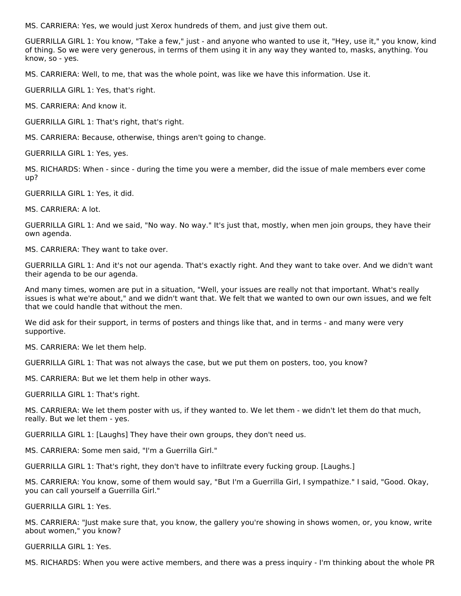MS. CARRIERA: Yes, we would just Xerox hundreds of them, and just give them out.

GUERRILLA GIRL 1: You know, "Take a few," just - and anyone who wanted to use it, "Hey, use it," you know, kind of thing. So we were very generous, in terms of them using it in any way they wanted to, masks, anything. You know, so - yes.

MS. CARRIERA: Well, to me, that was the whole point, was like we have this information. Use it.

GUERRILLA GIRL 1: Yes, that's right.

MS. CARRIERA: And know it.

GUERRILLA GIRL 1: That's right, that's right.

MS. CARRIERA: Because, otherwise, things aren't going to change.

GUERRILLA GIRL 1: Yes, yes.

MS. RICHARDS: When - since - during the time you were a member, did the issue of male members ever come up?

GUERRILLA GIRL 1: Yes, it did.

MS. CARRIERA: A lot.

GUERRILLA GIRL 1: And we said, "No way. No way." It's just that, mostly, when men join groups, they have their own agenda.

MS. CARRIERA: They want to take over.

GUERRILLA GIRL 1: And it's not our agenda. That's exactly right. And they want to take over. And we didn't want their agenda to be our agenda.

And many times, women are put in a situation, "Well, your issues are really not that important. What's really issues is what we're about," and we didn't want that. We felt that we wanted to own our own issues, and we felt that we could handle that without the men.

We did ask for their support, in terms of posters and things like that, and in terms - and many were very supportive.

MS. CARRIERA: We let them help.

GUERRILLA GIRL 1: That was not always the case, but we put them on posters, too, you know?

MS. CARRIERA: But we let them help in other ways.

GUERRILLA GIRL 1: That's right.

MS. CARRIERA: We let them poster with us, if they wanted to. We let them - we didn't let them do that much, really. But we let them - yes.

GUERRILLA GIRL 1: [Laughs] They have their own groups, they don't need us.

MS. CARRIERA: Some men said, "I'm a Guerrilla Girl."

GUERRILLA GIRL 1: That's right, they don't have to infiltrate every fucking group. [Laughs.]

MS. CARRIERA: You know, some of them would say, "But I'm a Guerrilla Girl, I sympathize." I said, "Good. Okay, you can call yourself a Guerrilla Girl."

GUERRILLA GIRL 1: Yes.

MS. CARRIERA: "Just make sure that, you know, the gallery you're showing in shows women, or, you know, write about women," you know?

GUERRILLA GIRL 1: Yes.

MS. RICHARDS: When you were active members, and there was a press inquiry - I'm thinking about the whole PR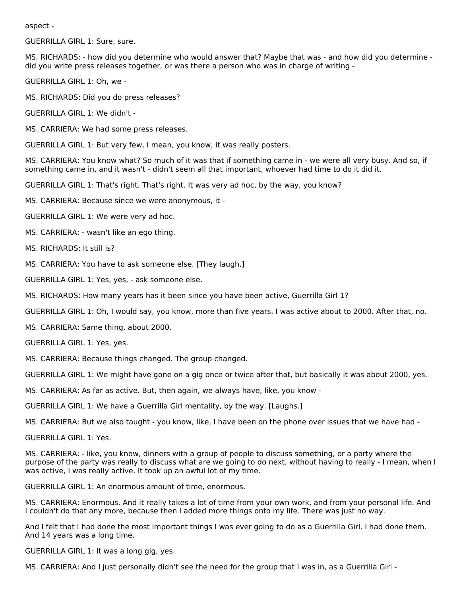aspect -

GUERRILLA GIRL 1: Sure, sure.

MS. RICHARDS: - how did you determine who would answer that? Maybe that was - and how did you determine did you write press releases together, or was there a person who was in charge of writing -

GUERRILLA GIRL 1: Oh, we -

MS. RICHARDS: Did you do press releases?

GUERRILLA GIRL 1: We didn't -

MS. CARRIERA: We had some press releases.

GUERRILLA GIRL 1: But very few, I mean, you know, it was really posters.

MS. CARRIERA: You know what? So much of it was that if something came in - we were all very busy. And so, if something came in, and it wasn't - didn't seem all that important, whoever had time to do it did it.

GUERRILLA GIRL 1: That's right. That's right. It was very ad hoc, by the way, you know?

MS. CARRIERA: Because since we were anonymous, it -

GUERRILLA GIRL 1: We were very ad hoc.

MS. CARRIERA: - wasn't like an ego thing.

MS. RICHARDS: It still is?

MS. CARRIERA: You have to ask someone else. [They laugh.]

GUERRILLA GIRL 1: Yes, yes, - ask someone else.

MS. RICHARDS: How many years has it been since you have been active, Guerrilla Girl 1?

GUERRILLA GIRL 1: Oh, I would say, you know, more than five years. I was active about to 2000. After that, no.

MS. CARRIERA: Same thing, about 2000.

GUERRILLA GIRL 1: Yes, yes.

MS. CARRIERA: Because things changed. The group changed.

GUERRILLA GIRL 1: We might have gone on a gig once or twice after that, but basically it was about 2000, yes.

MS. CARRIERA: As far as active. But, then again, we always have, like, you know -

GUERRILLA GIRL 1: We have a Guerrilla Girl mentality, by the way. [Laughs.]

MS. CARRIERA: But we also taught - you know, like, I have been on the phone over issues that we have had -

GUERRILLA GIRL 1: Yes.

MS. CARRIERA: - like, you know, dinners with a group of people to discuss something, or a party where the purpose of the party was really to discuss what are we going to do next, without having to really - I mean, when I was active, I was really active. It took up an awful lot of my time.

GUERRILLA GIRL 1: An enormous amount of time, enormous.

MS. CARRIERA: Enormous. And it really takes a lot of time from your own work, and from your personal life. And I couldn't do that any more, because then I added more things onto my life. There was just no way.

And I felt that I had done the most important things I was ever going to do as a Guerrilla Girl. I had done them. And 14 years was a long time.

GUERRILLA GIRL 1: It was a long gig, yes.

MS. CARRIERA: And I just personally didn't see the need for the group that I was in, as a Guerrilla Girl -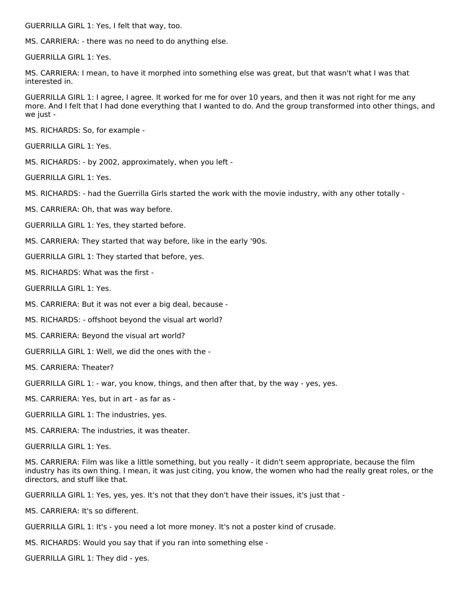GUERRILLA GIRL 1: Yes, I felt that way, too.

MS. CARRIERA: - there was no need to do anything else.

GUERRILLA GIRL 1: Yes.

MS. CARRIERA: I mean, to have it morphed into something else was great, but that wasn't what I was that interested in.

GUERRILLA GIRL 1: I agree, I agree. It worked for me for over 10 years, and then it was not right for me any more. And I felt that I had done everything that I wanted to do. And the group transformed into other things, and we just -

MS. RICHARDS: So, for example -

GUERRILLA GIRL 1: Yes.

MS. RICHARDS: - by 2002, approximately, when you left -

GUERRILLA GIRL 1: Yes.

MS. RICHARDS: - had the Guerrilla Girls started the work with the movie industry, with any other totally -

MS. CARRIERA: Oh, that was way before.

GUERRILLA GIRL 1: Yes, they started before.

MS. CARRIERA: They started that way before, like in the early '90s.

GUERRILLA GIRL 1: They started that before, yes.

MS. RICHARDS: What was the first -

GUERRILLA GIRL 1: Yes.

MS. CARRIERA: But it was not ever a big deal, because -

MS. RICHARDS: - offshoot beyond the visual art world?

MS. CARRIERA: Beyond the visual art world?

GUERRILLA GIRL 1: Well, we did the ones with the -

MS. CARRIERA: Theater?

GUERRILLA GIRL 1: - war, you know, things, and then after that, by the way - yes, yes.

MS. CARRIERA: Yes, but in art - as far as -

GUERRILLA GIRL 1: The industries, yes.

MS. CARRIERA: The industries, it was theater.

GUERRILLA GIRL 1: Yes.

MS. CARRIERA: Film was like a little something, but you really - it didn't seem appropriate, because the film industry has its own thing. I mean, it was just citing, you know, the women who had the really great roles, or the directors, and stuff like that.

GUERRILLA GIRL 1: Yes, yes, yes. It's not that they don't have their issues, it's just that -

MS. CARRIERA: It's so different.

GUERRILLA GIRL 1: It's - you need a lot more money. It's not a poster kind of crusade.

MS. RICHARDS: Would you say that if you ran into something else -

GUERRILLA GIRL 1: They did - yes.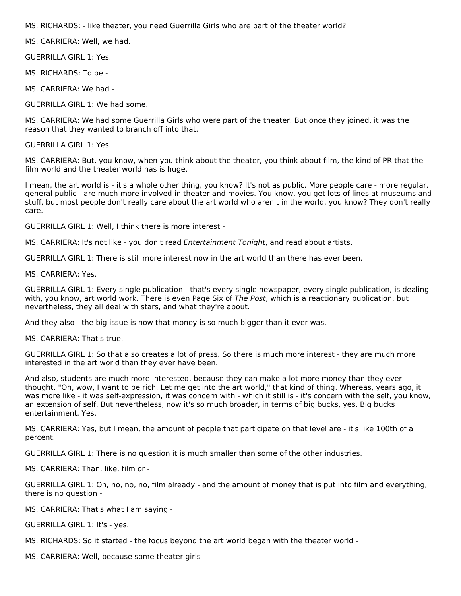MS. RICHARDS: - like theater, you need Guerrilla Girls who are part of the theater world?

MS. CARRIERA: Well, we had.

GUERRILLA GIRL 1: Yes.

MS. RICHARDS: To be -

MS. CARRIERA: We had -

GUERRILLA GIRL 1: We had some.

MS. CARRIERA: We had some Guerrilla Girls who were part of the theater. But once they joined, it was the reason that they wanted to branch off into that.

GUERRILLA GIRL 1: Yes.

MS. CARRIERA: But, you know, when you think about the theater, you think about film, the kind of PR that the film world and the theater world has is huge.

I mean, the art world is - it's a whole other thing, you know? It's not as public. More people care - more regular, general public - are much more involved in theater and movies. You know, you get lots of lines at museums and stuff, but most people don't really care about the art world who aren't in the world, you know? They don't really care.

GUERRILLA GIRL 1: Well, I think there is more interest -

MS. CARRIERA: It's not like - you don't read Entertainment Tonight, and read about artists.

GUERRILLA GIRL 1: There is still more interest now in the art world than there has ever been.

MS. CARRIERA: Yes.

GUERRILLA GIRL 1: Every single publication - that's every single newspaper, every single publication, is dealing with, you know, art world work. There is even Page Six of The Post, which is a reactionary publication, but nevertheless, they all deal with stars, and what they're about.

And they also - the big issue is now that money is so much bigger than it ever was.

MS. CARRIERA: That's true.

GUERRILLA GIRL 1: So that also creates a lot of press. So there is much more interest - they are much more interested in the art world than they ever have been.

And also, students are much more interested, because they can make a lot more money than they ever thought. "Oh, wow, I want to be rich. Let me get into the art world," that kind of thing. Whereas, years ago, it was more like - it was self-expression, it was concern with - which it still is - it's concern with the self, you know, an extension of self. But nevertheless, now it's so much broader, in terms of big bucks, yes. Big bucks entertainment. Yes.

MS. CARRIERA: Yes, but I mean, the amount of people that participate on that level are - it's like 100th of a percent.

GUERRILLA GIRL 1: There is no question it is much smaller than some of the other industries.

MS. CARRIERA: Than, like, film or -

GUERRILLA GIRL 1: Oh, no, no, no, film already - and the amount of money that is put into film and everything, there is no question -

MS. CARRIERA: That's what I am saying -

GUERRILLA GIRL 1: It's - yes.

MS. RICHARDS: So it started - the focus beyond the art world began with the theater world -

MS. CARRIERA: Well, because some theater girls -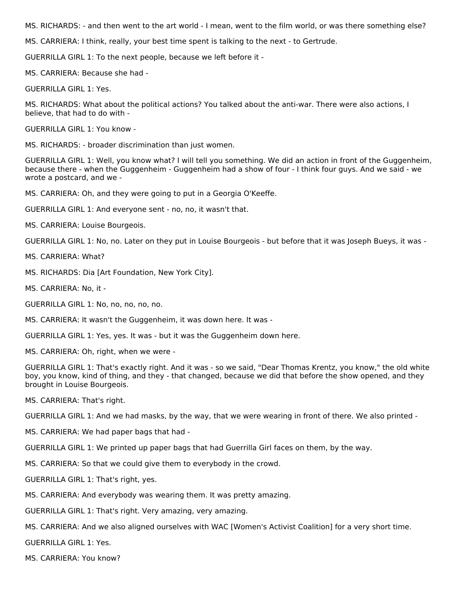MS. RICHARDS: - and then went to the art world - I mean, went to the film world, or was there something else?

MS. CARRIERA: I think, really, your best time spent is talking to the next - to Gertrude.

GUERRILLA GIRL 1: To the next people, because we left before it -

MS. CARRIERA: Because she had -

GUERRILLA GIRL 1: Yes.

MS. RICHARDS: What about the political actions? You talked about the anti-war. There were also actions, I believe, that had to do with -

GUERRILLA GIRL 1: You know -

MS. RICHARDS: - broader discrimination than just women.

GUERRILLA GIRL 1: Well, you know what? I will tell you something. We did an action in front of the Guggenheim, because there - when the Guggenheim - Guggenheim had a show of four - I think four guys. And we said - we wrote a postcard, and we -

MS. CARRIERA: Oh, and they were going to put in a Georgia O'Keeffe.

GUERRILLA GIRL 1: And everyone sent - no, no, it wasn't that.

MS. CARRIERA: Louise Bourgeois.

GUERRILLA GIRL 1: No, no. Later on they put in Louise Bourgeois - but before that it was Joseph Bueys, it was -

MS. CARRIERA: What?

MS. RICHARDS: Dia [Art Foundation, New York City].

MS. CARRIERA: No, it -

GUERRILLA GIRL 1: No, no, no, no, no.

MS. CARRIERA: It wasn't the Guggenheim, it was down here. It was -

GUERRILLA GIRL 1: Yes, yes. It was - but it was the Guggenheim down here.

MS. CARRIERA: Oh, right, when we were -

GUERRILLA GIRL 1: That's exactly right. And it was - so we said, "Dear Thomas Krentz, you know," the old white boy, you know, kind of thing, and they - that changed, because we did that before the show opened, and they brought in Louise Bourgeois.

MS. CARRIERA: That's right.

GUERRILLA GIRL 1: And we had masks, by the way, that we were wearing in front of there. We also printed -

MS. CARRIERA: We had paper bags that had -

GUERRILLA GIRL 1: We printed up paper bags that had Guerrilla Girl faces on them, by the way.

MS. CARRIERA: So that we could give them to everybody in the crowd.

GUERRILLA GIRL 1: That's right, yes.

MS. CARRIERA: And everybody was wearing them. It was pretty amazing.

GUERRILLA GIRL 1: That's right. Very amazing, very amazing.

MS. CARRIERA: And we also aligned ourselves with WAC [Women's Activist Coalition] for a very short time.

GUERRILLA GIRL 1: Yes.

MS. CARRIERA: You know?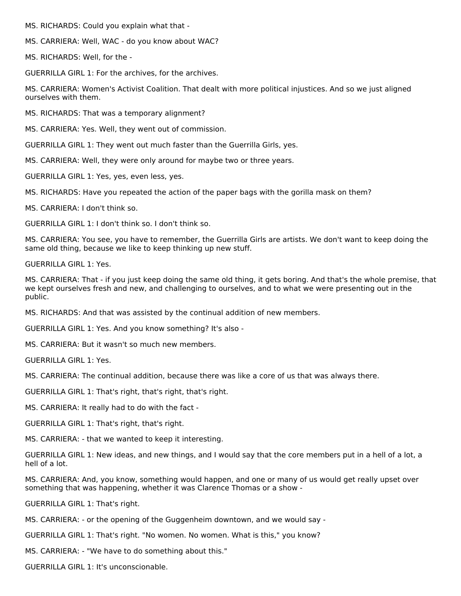MS. RICHARDS: Could you explain what that -

MS. CARRIERA: Well, WAC - do you know about WAC?

MS. RICHARDS: Well, for the -

GUERRILLA GIRL 1: For the archives, for the archives.

MS. CARRIERA: Women's Activist Coalition. That dealt with more political injustices. And so we just aligned ourselves with them.

MS. RICHARDS: That was a temporary alignment?

MS. CARRIERA: Yes. Well, they went out of commission.

GUERRILLA GIRL 1: They went out much faster than the Guerrilla Girls, yes.

MS. CARRIERA: Well, they were only around for maybe two or three years.

GUERRILLA GIRL 1: Yes, yes, even less, yes.

MS. RICHARDS: Have you repeated the action of the paper bags with the gorilla mask on them?

MS. CARRIERA: I don't think so.

GUERRILLA GIRL 1: I don't think so. I don't think so.

MS. CARRIERA: You see, you have to remember, the Guerrilla Girls are artists. We don't want to keep doing the same old thing, because we like to keep thinking up new stuff.

GUERRILLA GIRL 1: Yes.

MS. CARRIERA: That - if you just keep doing the same old thing, it gets boring. And that's the whole premise, that we kept ourselves fresh and new, and challenging to ourselves, and to what we were presenting out in the public.

MS. RICHARDS: And that was assisted by the continual addition of new members.

GUERRILLA GIRL 1: Yes. And you know something? It's also -

MS. CARRIERA: But it wasn't so much new members.

GUERRILLA GIRL 1: Yes.

MS. CARRIERA: The continual addition, because there was like a core of us that was always there.

GUERRILLA GIRL 1: That's right, that's right, that's right.

MS. CARRIERA: It really had to do with the fact -

GUERRILLA GIRL 1: That's right, that's right.

MS. CARRIERA: - that we wanted to keep it interesting.

GUERRILLA GIRL 1: New ideas, and new things, and I would say that the core members put in a hell of a lot, a hell of a lot.

MS. CARRIERA: And, you know, something would happen, and one or many of us would get really upset over something that was happening, whether it was Clarence Thomas or a show -

GUERRILLA GIRL 1: That's right.

MS. CARRIERA: - or the opening of the Guggenheim downtown, and we would say -

GUERRILLA GIRL 1: That's right. "No women. No women. What is this," you know?

MS. CARRIERA: - "We have to do something about this."

GUERRILLA GIRL 1: It's unconscionable.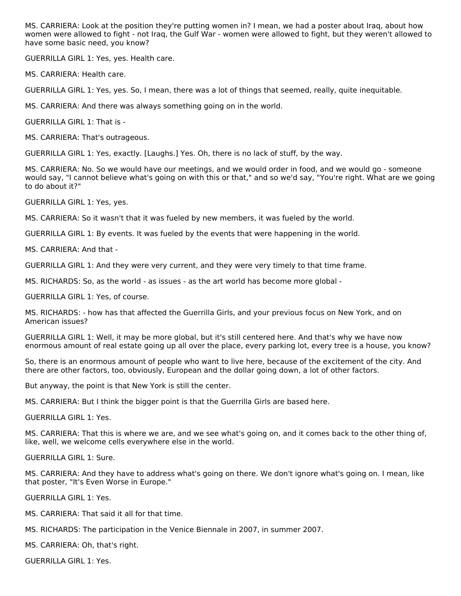MS. CARRIERA: Look at the position they're putting women in? I mean, we had a poster about Iraq, about how women were allowed to fight - not Iraq, the Gulf War - women were allowed to fight, but they weren't allowed to have some basic need, you know?

GUERRILLA GIRL 1: Yes, yes. Health care.

MS. CARRIERA: Health care.

GUERRILLA GIRL 1: Yes, yes. So, I mean, there was a lot of things that seemed, really, quite inequitable.

MS. CARRIERA: And there was always something going on in the world.

GUERRILLA GIRL 1: That is -

MS. CARRIERA: That's outrageous.

GUERRILLA GIRL 1: Yes, exactly. [Laughs.] Yes. Oh, there is no lack of stuff, by the way.

MS. CARRIERA: No. So we would have our meetings, and we would order in food, and we would go - someone would say, "I cannot believe what's going on with this or that," and so we'd say, "You're right. What are we going to do about it?"

GUERRILLA GIRL 1: Yes, yes.

MS. CARRIERA: So it wasn't that it was fueled by new members, it was fueled by the world.

GUERRILLA GIRL 1: By events. It was fueled by the events that were happening in the world.

MS. CARRIERA: And that -

GUERRILLA GIRL 1: And they were very current, and they were very timely to that time frame.

MS. RICHARDS: So, as the world - as issues - as the art world has become more global -

GUERRILLA GIRL 1: Yes, of course.

MS. RICHARDS: - how has that affected the Guerrilla Girls, and your previous focus on New York, and on American issues?

GUERRILLA GIRL 1: Well, it may be more global, but it's still centered here. And that's why we have now enormous amount of real estate going up all over the place, every parking lot, every tree is a house, you know?

So, there is an enormous amount of people who want to live here, because of the excitement of the city. And there are other factors, too, obviously, European and the dollar going down, a lot of other factors.

But anyway, the point is that New York is still the center.

MS. CARRIERA: But I think the bigger point is that the Guerrilla Girls are based here.

GUERRILLA GIRL 1: Yes.

MS. CARRIERA: That this is where we are, and we see what's going on, and it comes back to the other thing of, like, well, we welcome cells everywhere else in the world.

GUERRILLA GIRL 1: Sure.

MS. CARRIERA: And they have to address what's going on there. We don't ignore what's going on. I mean, like that poster, "It's Even Worse in Europe."

GUERRILLA GIRL 1: Yes.

MS. CARRIERA: That said it all for that time.

MS. RICHARDS: The participation in the Venice Biennale in 2007, in summer 2007.

MS. CARRIERA: Oh, that's right.

GUERRILLA GIRL 1: Yes.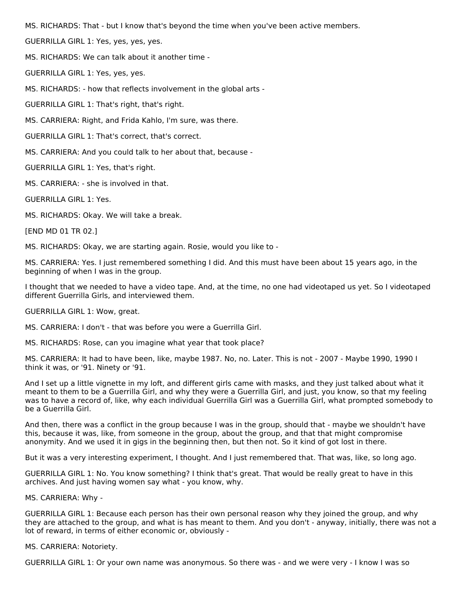MS. RICHARDS: That - but I know that's beyond the time when you've been active members.

GUERRILLA GIRL 1: Yes, yes, yes, yes.

MS. RICHARDS: We can talk about it another time -

GUERRILLA GIRL 1: Yes, yes, yes.

MS. RICHARDS: - how that reflects involvement in the global arts -

GUERRILLA GIRL 1: That's right, that's right.

MS. CARRIERA: Right, and Frida Kahlo, I'm sure, was there.

GUERRILLA GIRL 1: That's correct, that's correct.

MS. CARRIERA: And you could talk to her about that, because -

GUERRILLA GIRL 1: Yes, that's right.

MS. CARRIERA: - she is involved in that.

GUERRILLA GIRL 1: Yes.

MS. RICHARDS: Okay. We will take a break.

[END MD 01 TR 02.]

MS. RICHARDS: Okay, we are starting again. Rosie, would you like to -

MS. CARRIERA: Yes. I just remembered something I did. And this must have been about 15 years ago, in the beginning of when I was in the group.

I thought that we needed to have a video tape. And, at the time, no one had videotaped us yet. So I videotaped different Guerrilla Girls, and interviewed them.

GUERRILLA GIRL 1: Wow, great.

MS. CARRIERA: I don't - that was before you were a Guerrilla Girl.

MS. RICHARDS: Rose, can you imagine what year that took place?

MS. CARRIERA: It had to have been, like, maybe 1987. No, no. Later. This is not - 2007 - Maybe 1990, 1990 I think it was, or '91. Ninety or '91.

And I set up a little vignette in my loft, and different girls came with masks, and they just talked about what it meant to them to be a Guerrilla Girl, and why they were a Guerrilla Girl, and just, you know, so that my feeling was to have a record of, like, why each individual Guerrilla Girl was a Guerrilla Girl, what prompted somebody to be a Guerrilla Girl.

And then, there was a conflict in the group because I was in the group, should that - maybe we shouldn't have this, because it was, like, from someone in the group, about the group, and that that might compromise anonymity. And we used it in gigs in the beginning then, but then not. So it kind of got lost in there.

But it was a very interesting experiment, I thought. And I just remembered that. That was, like, so long ago.

GUERRILLA GIRL 1: No. You know something? I think that's great. That would be really great to have in this archives. And just having women say what - you know, why.

MS. CARRIERA: Why -

GUERRILLA GIRL 1: Because each person has their own personal reason why they joined the group, and why they are attached to the group, and what is has meant to them. And you don't - anyway, initially, there was not a lot of reward, in terms of either economic or, obviously -

MS. CARRIERA: Notoriety.

GUERRILLA GIRL 1: Or your own name was anonymous. So there was - and we were very - I know I was so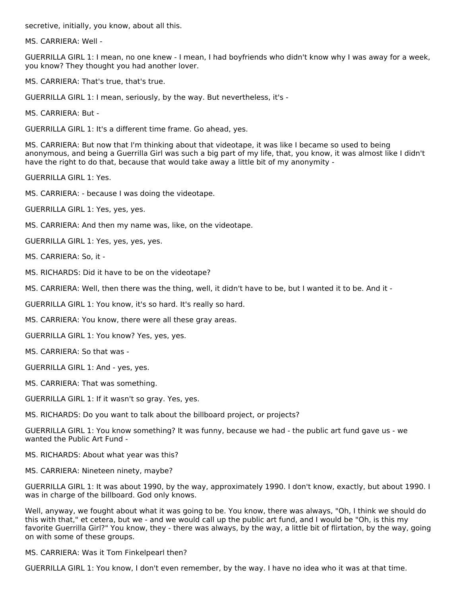secretive, initially, you know, about all this.

MS. CARRIERA: Well -

GUERRILLA GIRL 1: I mean, no one knew - I mean, I had boyfriends who didn't know why I was away for a week, you know? They thought you had another lover.

MS. CARRIERA: That's true, that's true.

GUERRILLA GIRL 1: I mean, seriously, by the way. But nevertheless, it's -

MS. CARRIERA: But -

GUERRILLA GIRL 1: It's a different time frame. Go ahead, yes.

MS. CARRIERA: But now that I'm thinking about that videotape, it was like I became so used to being anonymous, and being a Guerrilla Girl was such a big part of my life, that, you know, it was almost like I didn't have the right to do that, because that would take away a little bit of my anonymity -

GUERRILLA GIRL 1: Yes.

MS. CARRIERA: - because I was doing the videotape.

GUERRILLA GIRL 1: Yes, yes, yes.

MS. CARRIERA: And then my name was, like, on the videotape.

GUERRILLA GIRL 1: Yes, yes, yes, yes.

MS. CARRIERA: So, it -

MS. RICHARDS: Did it have to be on the videotape?

MS. CARRIERA: Well, then there was the thing, well, it didn't have to be, but I wanted it to be. And it -

GUERRILLA GIRL 1: You know, it's so hard. It's really so hard.

MS. CARRIERA: You know, there were all these gray areas.

GUERRILLA GIRL 1: You know? Yes, yes, yes.

MS. CARRIERA: So that was -

GUERRILLA GIRL 1: And - yes, yes.

MS. CARRIERA: That was something.

GUERRILLA GIRL 1: If it wasn't so gray. Yes, yes.

MS. RICHARDS: Do you want to talk about the billboard project, or projects?

GUERRILLA GIRL 1: You know something? It was funny, because we had - the public art fund gave us - we wanted the Public Art Fund -

MS. RICHARDS: About what year was this?

MS. CARRIERA: Nineteen ninety, maybe?

GUERRILLA GIRL 1: It was about 1990, by the way, approximately 1990. I don't know, exactly, but about 1990. I was in charge of the billboard. God only knows.

Well, anyway, we fought about what it was going to be. You know, there was always, "Oh, I think we should do this with that," et cetera, but we - and we would call up the public art fund, and I would be "Oh, is this my favorite Guerrilla Girl?" You know, they - there was always, by the way, a little bit of flirtation, by the way, going on with some of these groups.

MS. CARRIERA: Was it Tom Finkelpearl then?

GUERRILLA GIRL 1: You know, I don't even remember, by the way. I have no idea who it was at that time.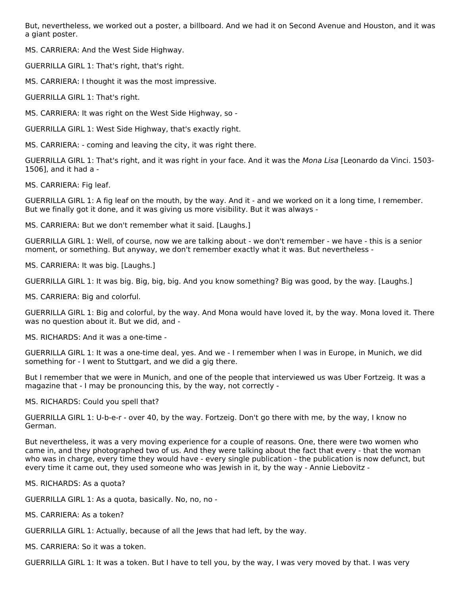But, nevertheless, we worked out a poster, a billboard. And we had it on Second Avenue and Houston, and it was a giant poster.

MS. CARRIERA: And the West Side Highway.

GUERRILLA GIRL 1: That's right, that's right.

MS. CARRIERA: I thought it was the most impressive.

GUERRILLA GIRL 1: That's right.

MS. CARRIERA: It was right on the West Side Highway, so -

GUERRILLA GIRL 1: West Side Highway, that's exactly right.

MS. CARRIERA: - coming and leaving the city, it was right there.

GUERRILLA GIRL 1: That's right, and it was right in your face. And it was the Mona Lisa [Leonardo da Vinci. 1503-1506], and it had a -

MS. CARRIERA: Fig leaf.

GUERRILLA GIRL 1: A fig leaf on the mouth, by the way. And it - and we worked on it a long time, I remember. But we finally got it done, and it was giving us more visibility. But it was always -

MS. CARRIERA: But we don't remember what it said. [Laughs.]

GUERRILLA GIRL 1: Well, of course, now we are talking about - we don't remember - we have - this is a senior moment, or something. But anyway, we don't remember exactly what it was. But nevertheless -

MS. CARRIERA: It was big. [Laughs.]

GUERRILLA GIRL 1: It was big. Big, big, big. And you know something? Big was good, by the way. [Laughs.]

MS. CARRIERA: Big and colorful.

GUERRILLA GIRL 1: Big and colorful, by the way. And Mona would have loved it, by the way. Mona loved it. There was no question about it. But we did, and -

MS. RICHARDS: And it was a one-time -

GUERRILLA GIRL 1: It was a one-time deal, yes. And we - I remember when I was in Europe, in Munich, we did something for - I went to Stuttgart, and we did a gig there.

But I remember that we were in Munich, and one of the people that interviewed us was Uber Fortzeig. It was a magazine that - I may be pronouncing this, by the way, not correctly -

MS. RICHARDS: Could you spell that?

GUERRILLA GIRL 1: U-b-e-r - over 40, by the way. Fortzeig. Don't go there with me, by the way, I know no German.

But nevertheless, it was a very moving experience for a couple of reasons. One, there were two women who came in, and they photographed two of us. And they were talking about the fact that every - that the woman who was in charge, every time they would have - every single publication - the publication is now defunct, but every time it came out, they used someone who was Jewish in it, by the way - Annie Liebovitz -

MS. RICHARDS: As a quota?

GUERRILLA GIRL 1: As a quota, basically. No, no, no -

MS. CARRIERA: As a token?

GUERRILLA GIRL 1: Actually, because of all the Jews that had left, by the way.

MS. CARRIERA: So it was a token.

GUERRILLA GIRL 1: It was a token. But I have to tell you, by the way, I was very moved by that. I was very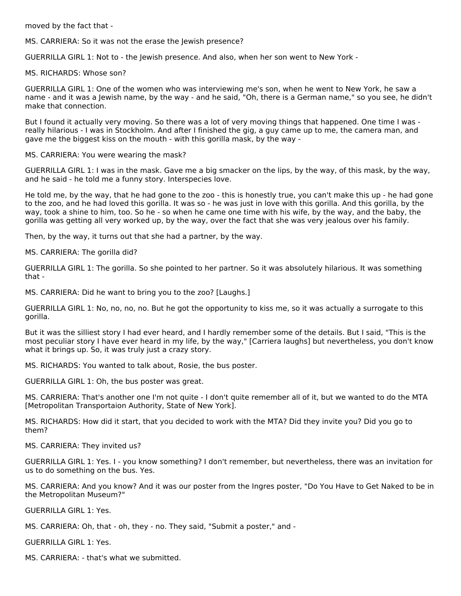moved by the fact that -

MS. CARRIERA: So it was not the erase the Jewish presence?

GUERRILLA GIRL 1: Not to - the Jewish presence. And also, when her son went to New York -

MS. RICHARDS: Whose son?

GUERRILLA GIRL 1: One of the women who was interviewing me's son, when he went to New York, he saw a name - and it was a Jewish name, by the way - and he said, "Oh, there is a German name," so you see, he didn't make that connection.

But I found it actually very moving. So there was a lot of very moving things that happened. One time I was really hilarious - I was in Stockholm. And after I finished the gig, a guy came up to me, the camera man, and gave me the biggest kiss on the mouth - with this gorilla mask, by the way -

MS. CARRIERA: You were wearing the mask?

GUERRILLA GIRL 1: I was in the mask. Gave me a big smacker on the lips, by the way, of this mask, by the way, and he said - he told me a funny story. Interspecies love.

He told me, by the way, that he had gone to the zoo - this is honestly true, you can't make this up - he had gone to the zoo, and he had loved this gorilla. It was so - he was just in love with this gorilla. And this gorilla, by the way, took a shine to him, too. So he - so when he came one time with his wife, by the way, and the baby, the gorilla was getting all very worked up, by the way, over the fact that she was very jealous over his family.

Then, by the way, it turns out that she had a partner, by the way.

MS. CARRIERA: The gorilla did?

GUERRILLA GIRL 1: The gorilla. So she pointed to her partner. So it was absolutely hilarious. It was something that -

MS. CARRIERA: Did he want to bring you to the zoo? [Laughs.]

GUERRILLA GIRL 1: No, no, no, no. But he got the opportunity to kiss me, so it was actually a surrogate to this gorilla.

But it was the silliest story I had ever heard, and I hardly remember some of the details. But I said, "This is the most peculiar story I have ever heard in my life, by the way," [Carriera laughs] but nevertheless, you don't know what it brings up. So, it was truly just a crazy story.

MS. RICHARDS: You wanted to talk about, Rosie, the bus poster.

GUERRILLA GIRL 1: Oh, the bus poster was great.

MS. CARRIERA: That's another one I'm not quite - I don't quite remember all of it, but we wanted to do the MTA [Metropolitan Transportaion Authority, State of New York].

MS. RICHARDS: How did it start, that you decided to work with the MTA? Did they invite you? Did you go to them?

MS. CARRIERA: They invited us?

GUERRILLA GIRL 1: Yes. I - you know something? I don't remember, but nevertheless, there was an invitation for us to do something on the bus. Yes.

MS. CARRIERA: And you know? And it was our poster from the Ingres poster, "Do You Have to Get Naked to be in the Metropolitan Museum?"

GUERRILLA GIRL 1: Yes.

MS. CARRIERA: Oh, that - oh, they - no. They said, "Submit a poster," and -

GUERRILLA GIRL 1: Yes.

MS. CARRIERA: - that's what we submitted.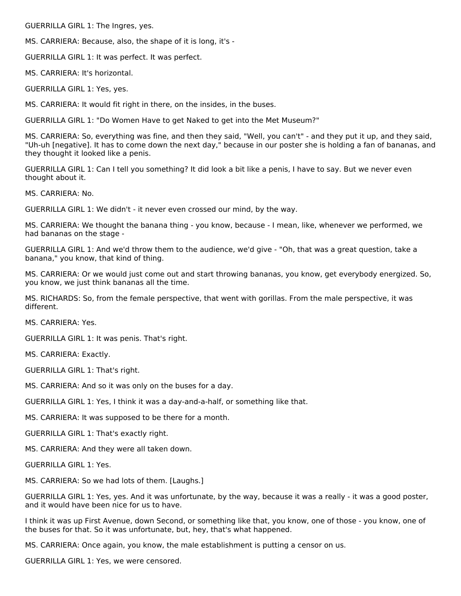GUERRILLA GIRL 1: The Ingres, yes.

MS. CARRIERA: Because, also, the shape of it is long, it's -

GUERRILLA GIRL 1: It was perfect. It was perfect.

MS. CARRIERA: It's horizontal.

GUERRILLA GIRL 1: Yes, yes.

MS. CARRIERA: It would fit right in there, on the insides, in the buses.

GUERRILLA GIRL 1: "Do Women Have to get Naked to get into the Met Museum?"

MS. CARRIERA: So, everything was fine, and then they said, "Well, you can't" - and they put it up, and they said, "Uh-uh [negative]. It has to come down the next day," because in our poster she is holding a fan of bananas, and they thought it looked like a penis.

GUERRILLA GIRL 1: Can I tell you something? It did look a bit like a penis, I have to say. But we never even thought about it.

MS. CARRIERA: No.

GUERRILLA GIRL 1: We didn't - it never even crossed our mind, by the way.

MS. CARRIERA: We thought the banana thing - you know, because - I mean, like, whenever we performed, we had bananas on the stage -

GUERRILLA GIRL 1: And we'd throw them to the audience, we'd give - "Oh, that was a great question, take a banana," you know, that kind of thing.

MS. CARRIERA: Or we would just come out and start throwing bananas, you know, get everybody energized. So, you know, we just think bananas all the time.

MS. RICHARDS: So, from the female perspective, that went with gorillas. From the male perspective, it was different.

MS. CARRIERA: Yes.

GUERRILLA GIRL 1: It was penis. That's right.

MS. CARRIERA: Exactly.

GUERRILLA GIRL 1: That's right.

MS. CARRIERA: And so it was only on the buses for a day.

GUERRILLA GIRL 1: Yes, I think it was a day-and-a-half, or something like that.

MS. CARRIERA: It was supposed to be there for a month.

GUERRILLA GIRL 1: That's exactly right.

MS. CARRIERA: And they were all taken down.

GUERRILLA GIRL 1: Yes.

MS. CARRIERA: So we had lots of them. [Laughs.]

GUERRILLA GIRL 1: Yes, yes. And it was unfortunate, by the way, because it was a really - it was a good poster, and it would have been nice for us to have.

I think it was up First Avenue, down Second, or something like that, you know, one of those - you know, one of the buses for that. So it was unfortunate, but, hey, that's what happened.

MS. CARRIERA: Once again, you know, the male establishment is putting a censor on us.

GUERRILLA GIRL 1: Yes, we were censored.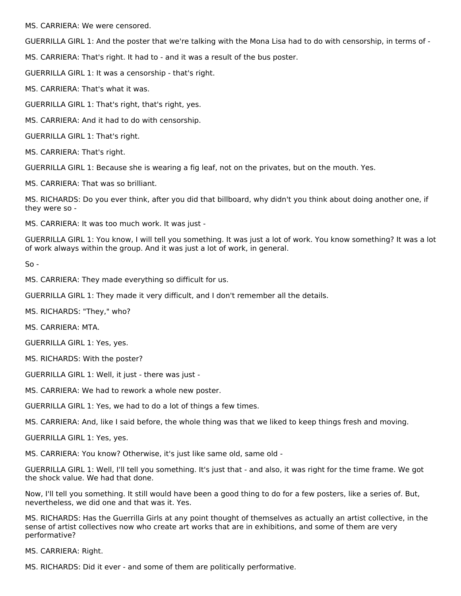MS. CARRIERA: We were censored.

GUERRILLA GIRL 1: And the poster that we're talking with the Mona Lisa had to do with censorship, in terms of -

MS. CARRIERA: That's right. It had to - and it was a result of the bus poster.

GUERRILLA GIRL 1: It was a censorship - that's right.

MS. CARRIERA: That's what it was.

GUERRILLA GIRL 1: That's right, that's right, yes.

MS. CARRIERA: And it had to do with censorship.

GUERRILLA GIRL 1: That's right.

MS. CARRIERA: That's right.

GUERRILLA GIRL 1: Because she is wearing a fig leaf, not on the privates, but on the mouth. Yes.

MS. CARRIERA: That was so brilliant.

MS. RICHARDS: Do you ever think, after you did that billboard, why didn't you think about doing another one, if they were so -

MS. CARRIERA: It was too much work. It was just -

GUERRILLA GIRL 1: You know, I will tell you something. It was just a lot of work. You know something? It was a lot of work always within the group. And it was just a lot of work, in general.

 $So -$ 

MS. CARRIERA: They made everything so difficult for us.

GUERRILLA GIRL 1: They made it very difficult, and I don't remember all the details.

MS. RICHARDS: "They," who?

MS. CARRIERA: MTA.

GUERRILLA GIRL 1: Yes, yes.

MS. RICHARDS: With the poster?

GUERRILLA GIRL 1: Well, it just - there was just -

MS. CARRIERA: We had to rework a whole new poster.

GUERRILLA GIRL 1: Yes, we had to do a lot of things a few times.

MS. CARRIERA: And, like I said before, the whole thing was that we liked to keep things fresh and moving.

GUERRILLA GIRL 1: Yes, yes.

MS. CARRIERA: You know? Otherwise, it's just like same old, same old -

GUERRILLA GIRL 1: Well, I'll tell you something. It's just that - and also, it was right for the time frame. We got the shock value. We had that done.

Now, I'll tell you something. It still would have been a good thing to do for a few posters, like a series of. But, nevertheless, we did one and that was it. Yes.

MS. RICHARDS: Has the Guerrilla Girls at any point thought of themselves as actually an artist collective, in the sense of artist collectives now who create art works that are in exhibitions, and some of them are very performative?

MS. CARRIERA: Right.

MS. RICHARDS: Did it ever - and some of them are politically performative.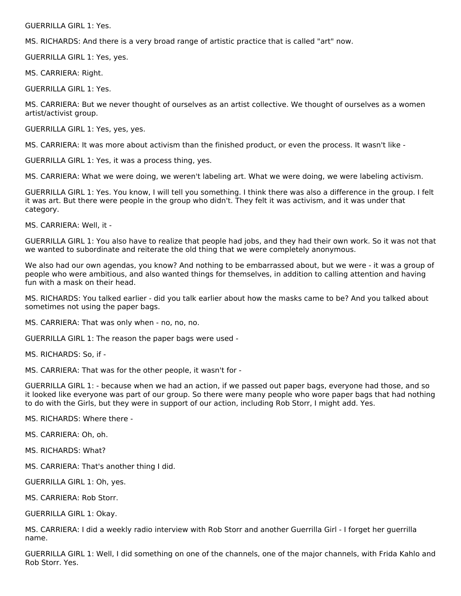GUERRILLA GIRL 1: Yes.

MS. RICHARDS: And there is a very broad range of artistic practice that is called "art" now.

GUERRILLA GIRL 1: Yes, yes.

MS. CARRIERA: Right.

GUERRILLA GIRL 1: Yes.

MS. CARRIERA: But we never thought of ourselves as an artist collective. We thought of ourselves as a women artist/activist group.

GUERRILLA GIRL 1: Yes, yes, yes.

MS. CARRIERA: It was more about activism than the finished product, or even the process. It wasn't like -

GUERRILLA GIRL 1: Yes, it was a process thing, yes.

MS. CARRIERA: What we were doing, we weren't labeling art. What we were doing, we were labeling activism.

GUERRILLA GIRL 1: Yes. You know, I will tell you something. I think there was also a difference in the group. I felt it was art. But there were people in the group who didn't. They felt it was activism, and it was under that category.

MS. CARRIERA: Well, it -

GUERRILLA GIRL 1: You also have to realize that people had jobs, and they had their own work. So it was not that we wanted to subordinate and reiterate the old thing that we were completely anonymous.

We also had our own agendas, you know? And nothing to be embarrassed about, but we were - it was a group of people who were ambitious, and also wanted things for themselves, in addition to calling attention and having fun with a mask on their head.

MS. RICHARDS: You talked earlier - did you talk earlier about how the masks came to be? And you talked about sometimes not using the paper bags.

MS. CARRIERA: That was only when - no, no, no.

GUERRILLA GIRL 1: The reason the paper bags were used -

MS. RICHARDS: So, if -

MS. CARRIERA: That was for the other people, it wasn't for -

GUERRILLA GIRL 1: - because when we had an action, if we passed out paper bags, everyone had those, and so it looked like everyone was part of our group. So there were many people who wore paper bags that had nothing to do with the Girls, but they were in support of our action, including Rob Storr, I might add. Yes.

MS. RICHARDS: Where there -

MS. CARRIERA: Oh, oh.

MS. RICHARDS: What?

MS. CARRIERA: That's another thing I did.

GUERRILLA GIRL 1: Oh, yes.

MS. CARRIERA: Rob Storr.

GUERRILLA GIRL 1: Okay.

MS. CARRIERA: I did a weekly radio interview with Rob Storr and another Guerrilla Girl - I forget her guerrilla name.

GUERRILLA GIRL 1: Well, I did something on one of the channels, one of the major channels, with Frida Kahlo and Rob Storr. Yes.